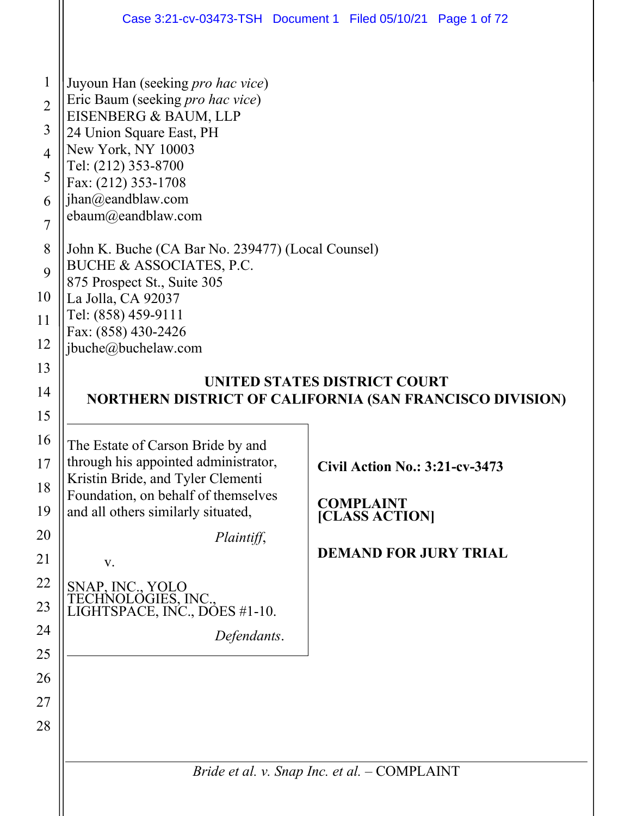| Case 3:21-cv-03473-TSH Document 1 Filed 05/10/21 Page 1 of 72                                                                                                                                                                                                                                                                                                                                                                                                |                              |                                                                                                             |  |
|--------------------------------------------------------------------------------------------------------------------------------------------------------------------------------------------------------------------------------------------------------------------------------------------------------------------------------------------------------------------------------------------------------------------------------------------------------------|------------------------------|-------------------------------------------------------------------------------------------------------------|--|
| Juyoun Han (seeking pro hac vice)<br>Eric Baum (seeking <i>pro hac vice</i> )<br>EISENBERG & BAUM, LLP<br>24 Union Square East, PH<br>New York, NY 10003<br>Tel: (212) 353-8700<br>Fax: (212) 353-1708<br>jhan@eandblaw.com<br>ebaum@eandblaw.com<br>John K. Buche (CA Bar No. 239477) (Local Counsel)<br>BUCHE & ASSOCIATES, P.C.<br>875 Prospect St., Suite 305<br>La Jolla, CA 92037<br>Tel: (858) 459-9111<br>Fax: (858) 430-2426<br>jbuche@buchelaw.com |                              |                                                                                                             |  |
| NORTHERN DISTRICT OF CALIFORNIA (SAN FRANCISCO DIVISION)                                                                                                                                                                                                                                                                                                                                                                                                     | UNITED STATES DISTRICT COURT |                                                                                                             |  |
| The Estate of Carson Bride by and<br>through his appointed administrator,<br>Kristin Bride, and Tyler Clementi<br>Foundation, on behalf of themselves<br>and all others similarly situated,<br>V.<br>SNAP, INC., YOLO<br>TECHNOLOGIES, INC.,<br>LIGHTSPACE, INC., DOES #1-10.                                                                                                                                                                                | Plaintiff,<br>Defendants.    | <b>Civil Action No.: 3:21-cv-3473</b><br><b>COMPLAINT</b><br>[CLASS ACTION]<br><b>DEMAND FOR JURY TRIAL</b> |  |
|                                                                                                                                                                                                                                                                                                                                                                                                                                                              |                              |                                                                                                             |  |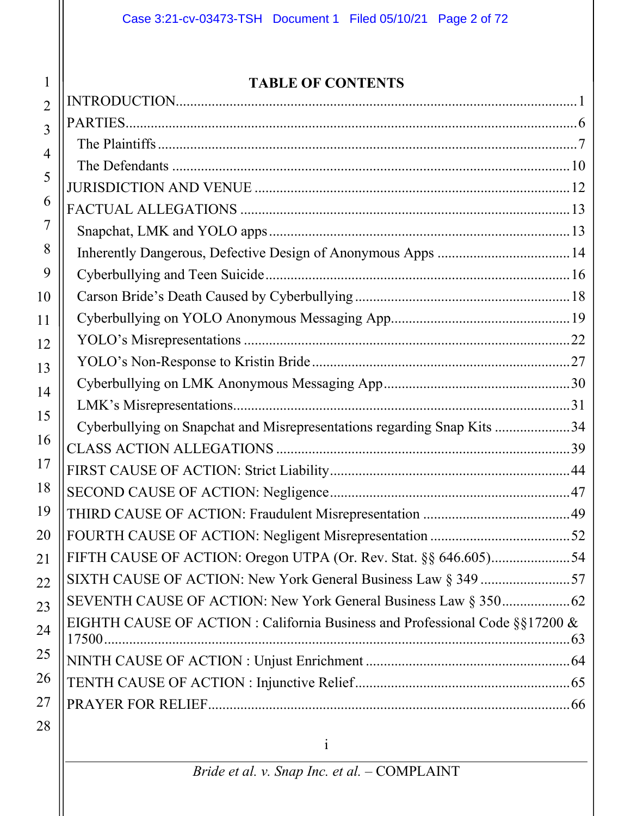# **TABLE OF CONTENTS**

1

| $\overline{2}$ |                                                                                   |  |
|----------------|-----------------------------------------------------------------------------------|--|
| 3              |                                                                                   |  |
| 4              |                                                                                   |  |
| 5              |                                                                                   |  |
|                |                                                                                   |  |
| 6              |                                                                                   |  |
| 7              |                                                                                   |  |
| 8              |                                                                                   |  |
| 9              |                                                                                   |  |
| 10             |                                                                                   |  |
| 11             |                                                                                   |  |
| 12             |                                                                                   |  |
| 13             |                                                                                   |  |
| 14             |                                                                                   |  |
| 15             |                                                                                   |  |
|                | Cyberbullying on Snapchat and Misrepresentations regarding Snap Kits 34           |  |
| 16             |                                                                                   |  |
| 17             |                                                                                   |  |
| 18             |                                                                                   |  |
| 19             |                                                                                   |  |
| 20             |                                                                                   |  |
| 21             |                                                                                   |  |
| 22             |                                                                                   |  |
| 23             |                                                                                   |  |
| 24             | EIGHTH CAUSE OF ACTION : California Business and Professional Code $\S$ \$17200 & |  |
| 25             |                                                                                   |  |
| 26             |                                                                                   |  |
| 27             |                                                                                   |  |
| 28             |                                                                                   |  |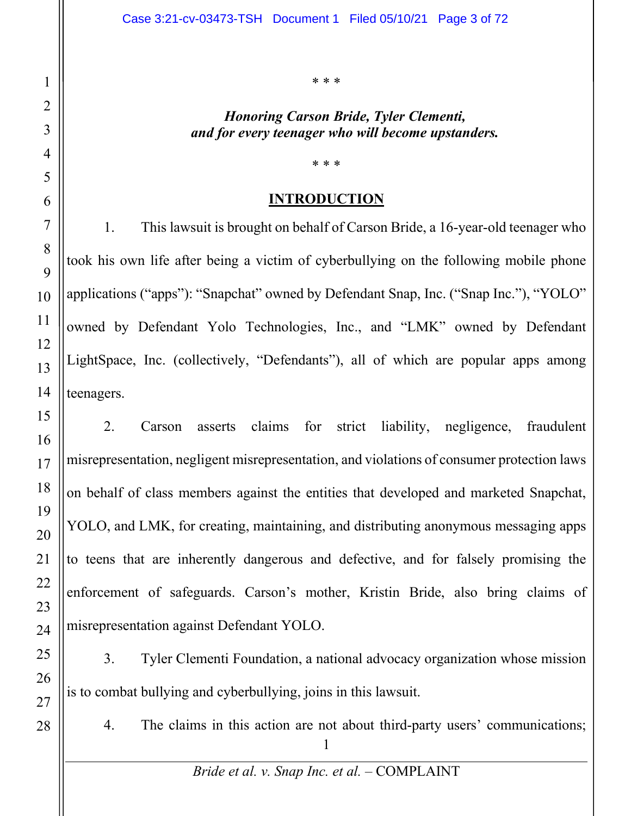\* \* \*

#### *Honoring Carson Bride, Tyler Clementi, and for every teenager who will become upstanders.*

# **INTRODUCTION**

\* \* \*

1. This lawsuit is brought on behalf of Carson Bride, a 16-year-old teenager who took his own life after being a victim of cyberbullying on the following mobile phone applications ("apps"): "Snapchat" owned by Defendant Snap, Inc. ("Snap Inc."), "YOLO" owned by Defendant Yolo Technologies, Inc., and "LMK" owned by Defendant LightSpace, Inc. (collectively, "Defendants"), all of which are popular apps among teenagers.

2. Carson asserts claims for strict liability, negligence, fraudulent misrepresentation, negligent misrepresentation, and violations of consumer protection laws on behalf of class members against the entities that developed and marketed Snapchat, YOLO, and LMK, for creating, maintaining, and distributing anonymous messaging apps to teens that are inherently dangerous and defective, and for falsely promising the enforcement of safeguards. Carson's mother, Kristin Bride, also bring claims of misrepresentation against Defendant YOLO.

3. Tyler Clementi Foundation, a national advocacy organization whose mission is to combat bullying and cyberbullying, joins in this lawsuit.

4. The claims in this action are not about third-party users' communications;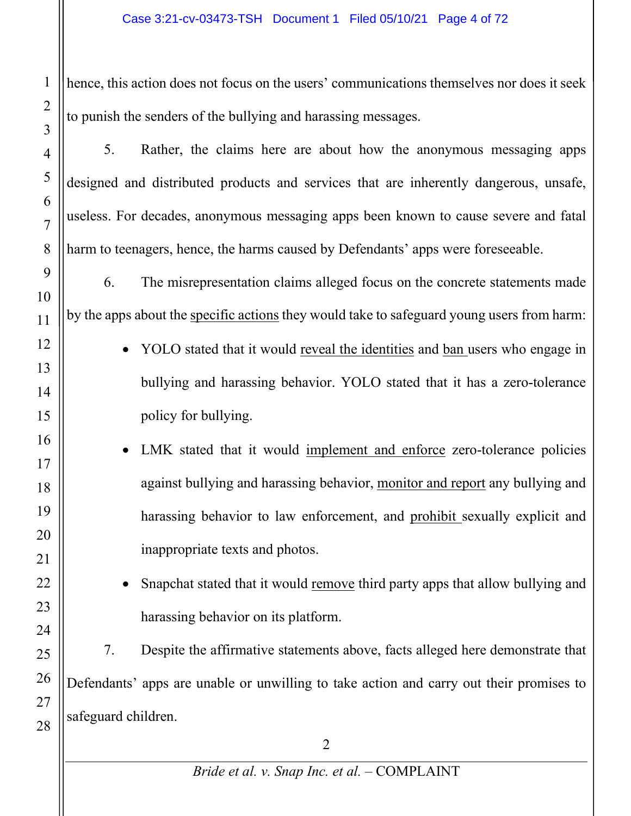hence, this action does not focus on the users' communications themselves nor does it seek to punish the senders of the bullying and harassing messages.

5. Rather, the claims here are about how the anonymous messaging apps designed and distributed products and services that are inherently dangerous, unsafe, useless. For decades, anonymous messaging apps been known to cause severe and fatal harm to teenagers, hence, the harms caused by Defendants' apps were foreseeable.

6. The misrepresentation claims alleged focus on the concrete statements made by the apps about the specific actions they would take to safeguard young users from harm:

- YOLO stated that it would reveal the identities and ban users who engage in bullying and harassing behavior. YOLO stated that it has a zero-tolerance policy for bullying.
- LMK stated that it would implement and enforce zero-tolerance policies against bullying and harassing behavior, monitor and report any bullying and harassing behavior to law enforcement, and prohibit sexually explicit and inappropriate texts and photos.
	- Snapchat stated that it would remove third party apps that allow bullying and harassing behavior on its platform.

7. Despite the affirmative statements above, facts alleged here demonstrate that Defendants' apps are unable or unwilling to take action and carry out their promises to safeguard children.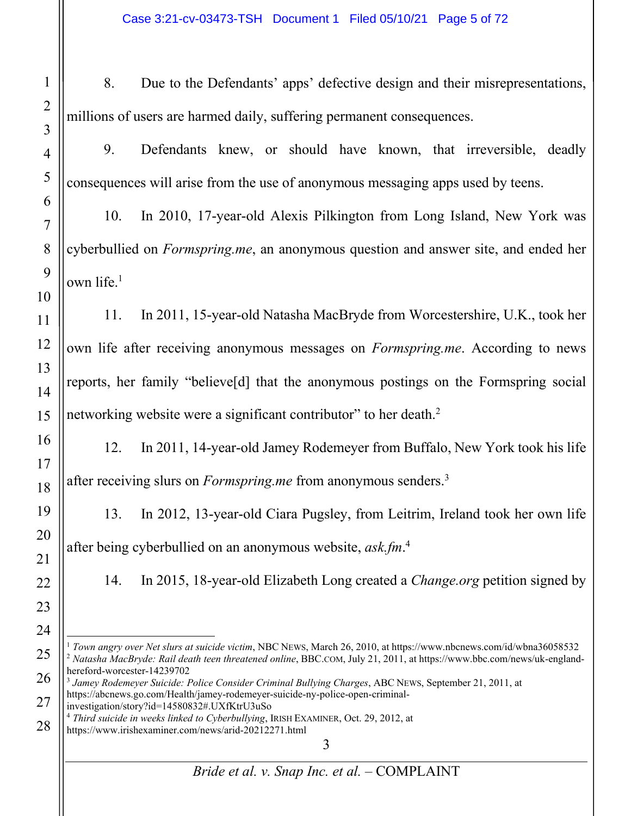8. Due to the Defendants' apps' defective design and their misrepresentations, millions of users are harmed daily, suffering permanent consequences.

9. Defendants knew, or should have known, that irreversible, deadly consequences will arise from the use of anonymous messaging apps used by teens.

10. In 2010, 17-year-old Alexis Pilkington from Long Island, New York was cyberbullied on *Formspring.me*, an anonymous question and answer site, and ended her own life.1

11. In 2011, 15-year-old Natasha MacBryde from Worcestershire, U.K., took her own life after receiving anonymous messages on *Formspring.me*. According to news reports, her family "believe[d] that the anonymous postings on the Formspring social networking website were a significant contributor" to her death.<sup>2</sup>

12. In 2011, 14-year-old Jamey Rodemeyer from Buffalo, New York took his life after receiving slurs on *Formspring.me* from anonymous senders.3

13. In 2012, 13-year-old Ciara Pugsley, from Leitrim, Ireland took her own life after being cyberbullied on an anonymous website, *ask.fm*. 4

14. In 2015, 18-year-old Elizabeth Long created a *Change.org* petition signed by

<sup>1</sup> *Town angry over Net slurs at suicide victim*, NBC NEWS, March 26, 2010, at https://www.nbcnews.com/id/wbna36058532 <sup>2</sup> *Natasha MacBryde: Rail death teen threatened online*, BBC.COM, July 21, 2011, at https://www.bbc.com/news/uk-englandhereford-worcester-14239702

<sup>3</sup> *Jamey Rodemeyer Suicide: Police Consider Criminal Bullying Charges*, ABC NEWS, September 21, 2011, at https://abcnews.go.com/Health/jamey-rodemeyer-suicide-ny-police-open-criminalinvestigation/story?id=14580832#.UXfKtrU3uSo

<sup>4</sup> *Third suicide in weeks linked to Cyberbullying*, IRISH EXAMINER, Oct. 29, 2012, at

https://www.irishexaminer.com/news/arid-20212271.html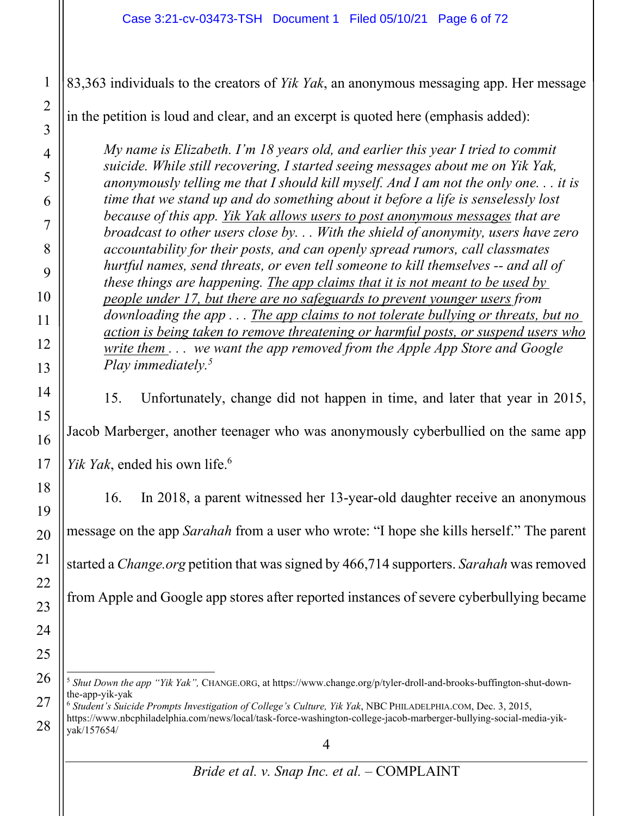83,363 individuals to the creators of *Yik Yak*, an anonymous messaging app. Her message

in the petition is loud and clear, and an excerpt is quoted here (emphasis added):

*My name is Elizabeth. I'm 18 years old, and earlier this year I tried to commit suicide. While still recovering, I started seeing messages about me on Yik Yak, anonymously telling me that I should kill myself. And I am not the only one. . . it is time that we stand up and do something about it before a life is senselessly lost because of this app. Yik Yak allows users to post anonymous messages that are broadcast to other users close by. . . With the shield of anonymity, users have zero accountability for their posts, and can openly spread rumors, call classmates hurtful names, send threats, or even tell someone to kill themselves -- and all of these things are happening. The app claims that it is not meant to be used by people under 17, but there are no safeguards to prevent younger users from downloading the app . . . The app claims to not tolerate bullying or threats, but no action is being taken to remove threatening or harmful posts, or suspend users who write them . . . we want the app removed from the Apple App Store and Google Play immediately.5*

15. Unfortunately, change did not happen in time, and later that year in 2015,

Jacob Marberger, another teenager who was anonymously cyberbullied on the same app

*Yik Yak*, ended his own life.6

16. In 2018, a parent witnessed her 13-year-old daughter receive an anonymous message on the app *Sarahah* from a user who wrote: "I hope she kills herself." The parent started a *Change.org* petition that was signed by 466,714 supporters. *Sarahah* wasremoved from Apple and Google app stores after reported instances of severe cyberbullying became

1

2

3

4

<sup>5</sup> *Shut Down the app "Yik Yak",* CHANGE.ORG, at https://www.change.org/p/tyler-droll-and-brooks-buffington-shut-downthe-app-yik-yak

<sup>6</sup> *Student's Suicide Prompts Investigation of College's Culture, Yik Yak*, NBC PHILADELPHIA.COM, Dec. 3, 2015, https://www.nbcphiladelphia.com/news/local/task-force-washington-college-jacob-marberger-bullying-social-media-yikyak/157654/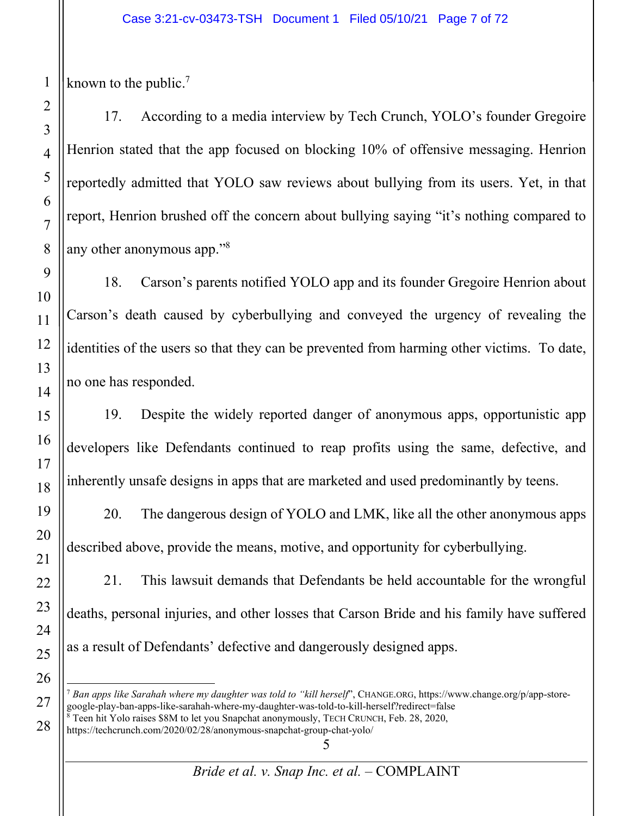known to the public.<sup>7</sup>

17. According to a media interview by Tech Crunch, YOLO's founder Gregoire Henrion stated that the app focused on blocking 10% of offensive messaging. Henrion reportedly admitted that YOLO saw reviews about bullying from its users. Yet, in that report, Henrion brushed off the concern about bullying saying "it's nothing compared to any other anonymous app."8

18. Carson's parents notified YOLO app and its founder Gregoire Henrion about Carson's death caused by cyberbullying and conveyed the urgency of revealing the identities of the users so that they can be prevented from harming other victims. To date, no one has responded.

19. Despite the widely reported danger of anonymous apps, opportunistic app developers like Defendants continued to reap profits using the same, defective, and inherently unsafe designs in apps that are marketed and used predominantly by teens.

20. The dangerous design of YOLO and LMK, like all the other anonymous apps described above, provide the means, motive, and opportunity for cyberbullying.

21. This lawsuit demands that Defendants be held accountable for the wrongful deaths, personal injuries, and other losses that Carson Bride and his family have suffered as a result of Defendants' defective and dangerously designed apps.

https://techcrunch.com/2020/02/28/anonymous-snapchat-group-chat-yolo/

<sup>7</sup> *Ban apps like Sarahah where my daughter was told to "kill herself*", CHANGE.ORG, https://www.change.org/p/app-storegoogle-play-ban-apps-like-sarahah-where-my-daughter-was-told-to-kill-herself?redirect=false <sup>8</sup> Teen hit Yolo raises \$8M to let you Snapchat anonymously, TECH CRUNCH, Feb. 28, 2020,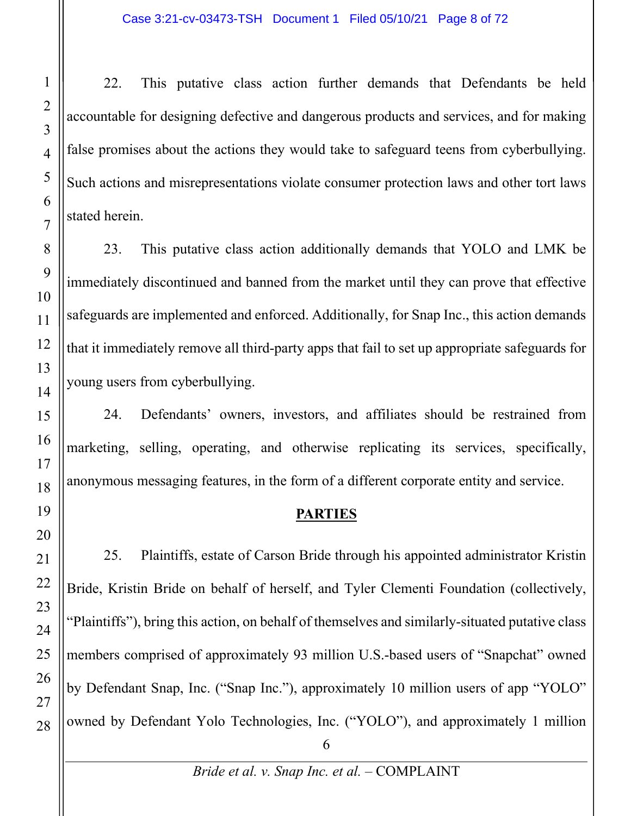22. This putative class action further demands that Defendants be held accountable for designing defective and dangerous products and services, and for making false promises about the actions they would take to safeguard teens from cyberbullying. Such actions and misrepresentations violate consumer protection laws and other tort laws stated herein.

23. This putative class action additionally demands that YOLO and LMK be immediately discontinued and banned from the market until they can prove that effective safeguards are implemented and enforced. Additionally, for Snap Inc., this action demands that it immediately remove all third-party apps that fail to set up appropriate safeguards for young users from cyberbullying.

24. Defendants' owners, investors, and affiliates should be restrained from marketing, selling, operating, and otherwise replicating its services, specifically, anonymous messaging features, in the form of a different corporate entity and service.

#### **PARTIES**

25. Plaintiffs, estate of Carson Bride through his appointed administrator Kristin Bride, Kristin Bride on behalf of herself, and Tyler Clementi Foundation (collectively, "Plaintiffs"), bring this action, on behalf of themselves and similarly-situated putative class members comprised of approximately 93 million U.S.-based users of "Snapchat" owned by Defendant Snap, Inc. ("Snap Inc."), approximately 10 million users of app "YOLO" owned by Defendant Yolo Technologies, Inc. ("YOLO"), and approximately 1 million

*Bride et al. v. Snap Inc. et al.* – COMPLAINT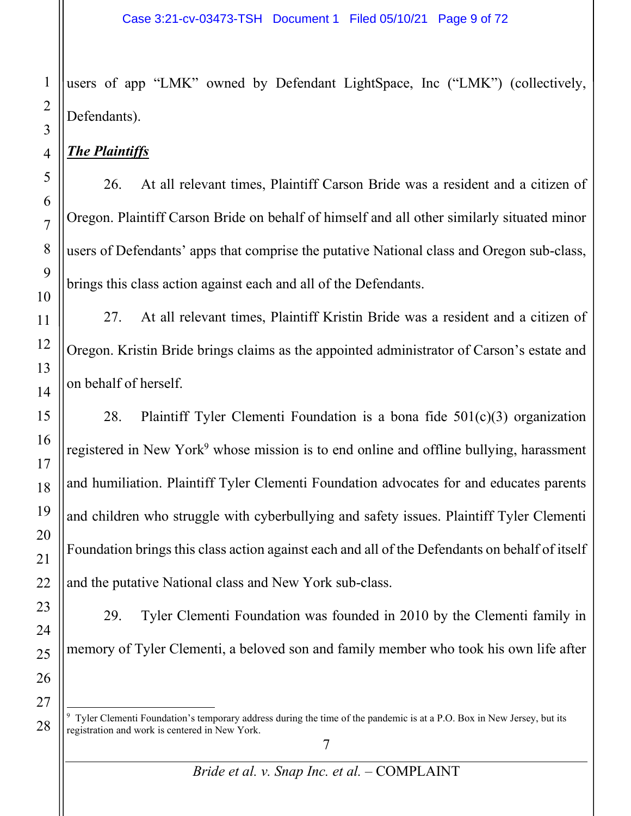users of app "LMK" owned by Defendant LightSpace, Inc ("LMK") (collectively, Defendants).

# *The Plaintiffs*

26. At all relevant times, Plaintiff Carson Bride was a resident and a citizen of Oregon. Plaintiff Carson Bride on behalf of himself and all other similarly situated minor users of Defendants' apps that comprise the putative National class and Oregon sub-class, brings this class action against each and all of the Defendants.

27. At all relevant times, Plaintiff Kristin Bride was a resident and a citizen of Oregon. Kristin Bride brings claims as the appointed administrator of Carson's estate and on behalf of herself.

28. Plaintiff Tyler Clementi Foundation is a bona fide  $501(c)(3)$  organization registered in New York<sup>9</sup> whose mission is to end online and offline bullying, harassment and humiliation. Plaintiff Tyler Clementi Foundation advocates for and educates parents and children who struggle with cyberbullying and safety issues. Plaintiff Tyler Clementi Foundation brings this class action against each and all of the Defendants on behalf of itself and the putative National class and New York sub-class.

29. Tyler Clementi Foundation was founded in 2010 by the Clementi family in memory of Tyler Clementi, a beloved son and family member who took his own life after

<sup>9</sup> Tyler Clementi Foundation's temporary address during the time of the pandemic is at a P.O. Box in New Jersey, but its registration and work is centered in New York.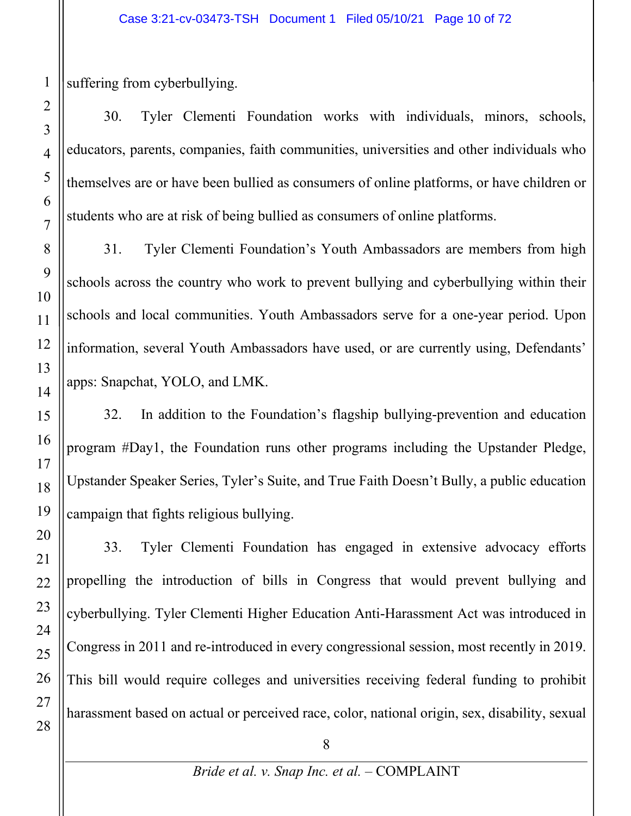suffering from cyberbullying.

30. Tyler Clementi Foundation works with individuals, minors, schools, educators, parents, companies, faith communities, universities and other individuals who themselves are or have been bullied as consumers of online platforms, or have children or students who are at risk of being bullied as consumers of online platforms.

31. Tyler Clementi Foundation's Youth Ambassadors are members from high schools across the country who work to prevent bullying and cyberbullying within their schools and local communities. Youth Ambassadors serve for a one-year period. Upon information, several Youth Ambassadors have used, or are currently using, Defendants' apps: Snapchat, YOLO, and LMK.

32. In addition to the Foundation's flagship bullying-prevention and education program #Day1, the Foundation runs other programs including the Upstander Pledge, Upstander Speaker Series, Tyler's Suite, and True Faith Doesn't Bully, a public education campaign that fights religious bullying.

33. Tyler Clementi Foundation has engaged in extensive advocacy efforts propelling the introduction of bills in Congress that would prevent bullying and cyberbullying. Tyler Clementi Higher Education Anti-Harassment Act was introduced in Congress in 2011 and re-introduced in every congressional session, most recently in 2019. This bill would require colleges and universities receiving federal funding to prohibit harassment based on actual or perceived race, color, national origin, sex, disability, sexual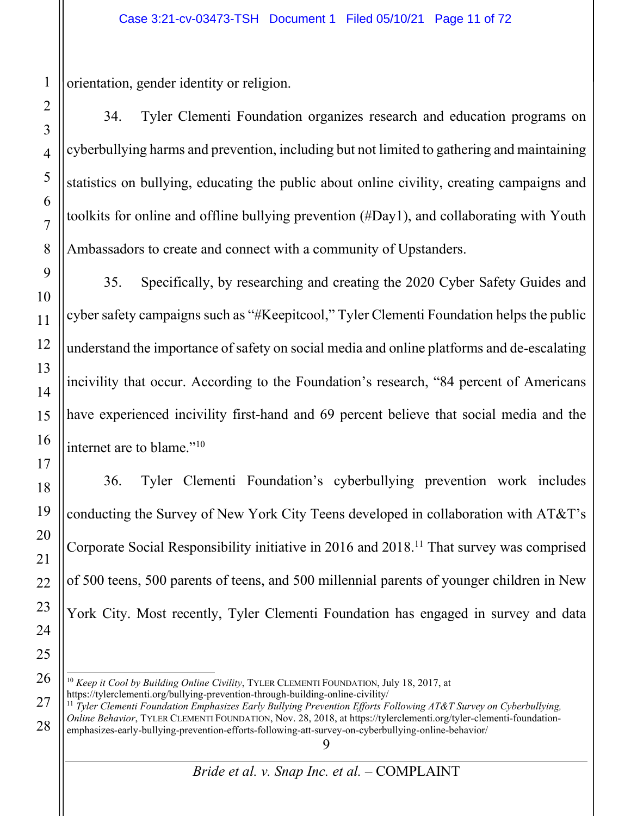orientation, gender identity or religion.

34. Tyler Clementi Foundation organizes research and education programs on cyberbullying harms and prevention, including but not limited to gathering and maintaining statistics on bullying, educating the public about online civility, creating campaigns and toolkits for online and offline bullying prevention (#Day1), and collaborating with Youth Ambassadors to create and connect with a community of Upstanders.

35. Specifically, by researching and creating the 2020 Cyber Safety Guides and cyber safety campaigns such as "#Keepitcool," Tyler Clementi Foundation helps the public understand the importance of safety on social media and online platforms and de-escalating incivility that occur. According to the Foundation's research, "84 percent of Americans have experienced incivility first-hand and 69 percent believe that social media and the internet are to blame."10

36. Tyler Clementi Foundation's cyberbullying prevention work includes conducting the Survey of New York City Teens developed in collaboration with AT&T's Corporate Social Responsibility initiative in 2016 and 2018.<sup>11</sup> That survey was comprised of 500 teens, 500 parents of teens, and 500 millennial parents of younger children in New York City. Most recently, Tyler Clementi Foundation has engaged in survey and data

<sup>10</sup> *Keep it Cool by Building Online Civility*, TYLER CLEMENTI FOUNDATION, July 18, 2017, at

https://tylerclementi.org/bullying-prevention-through-building-online-civility/ 11 *Tyler Clementi Foundation Emphasizes Early Bullying Prevention Efforts Following AT&T Survey on Cyberbullying, Online Behavior*, TYLER CLEMENTI FOUNDATION, Nov. 28, 2018, at https://tylerclementi.org/tyler-clementi-foundationemphasizes-early-bullying-prevention-efforts-following-att-survey-on-cyberbullying-online-behavior/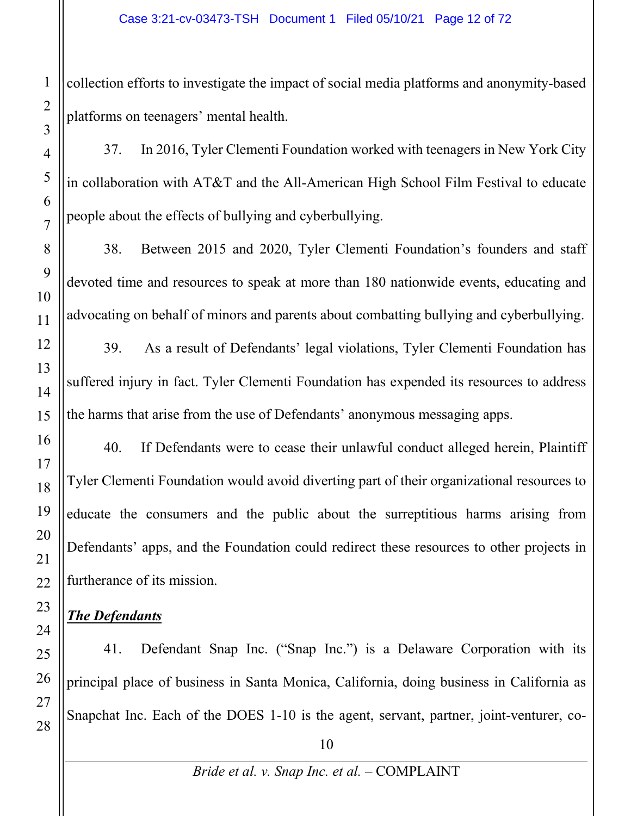collection efforts to investigate the impact of social media platforms and anonymity-based platforms on teenagers' mental health.

37. In 2016, Tyler Clementi Foundation worked with teenagers in New York City in collaboration with AT&T and the All-American High School Film Festival to educate people about the effects of bullying and cyberbullying.

38. Between 2015 and 2020, Tyler Clementi Foundation's founders and staff devoted time and resources to speak at more than 180 nationwide events, educating and advocating on behalf of minors and parents about combatting bullying and cyberbullying.

39. As a result of Defendants' legal violations, Tyler Clementi Foundation has suffered injury in fact. Tyler Clementi Foundation has expended its resources to address the harms that arise from the use of Defendants' anonymous messaging apps.

40. If Defendants were to cease their unlawful conduct alleged herein, Plaintiff Tyler Clementi Foundation would avoid diverting part of their organizational resources to educate the consumers and the public about the surreptitious harms arising from Defendants' apps, and the Foundation could redirect these resources to other projects in furtherance of its mission.

# *The Defendants*

41. Defendant Snap Inc. ("Snap Inc.") is a Delaware Corporation with its principal place of business in Santa Monica, California, doing business in California as Snapchat Inc. Each of the DOES 1-10 is the agent, servant, partner, joint-venturer, co-

1

2

3

4

5

6

7

8

9

10

11

12

13

14

15

16

17

18

19

20

21

22

23

24

25

26

27

28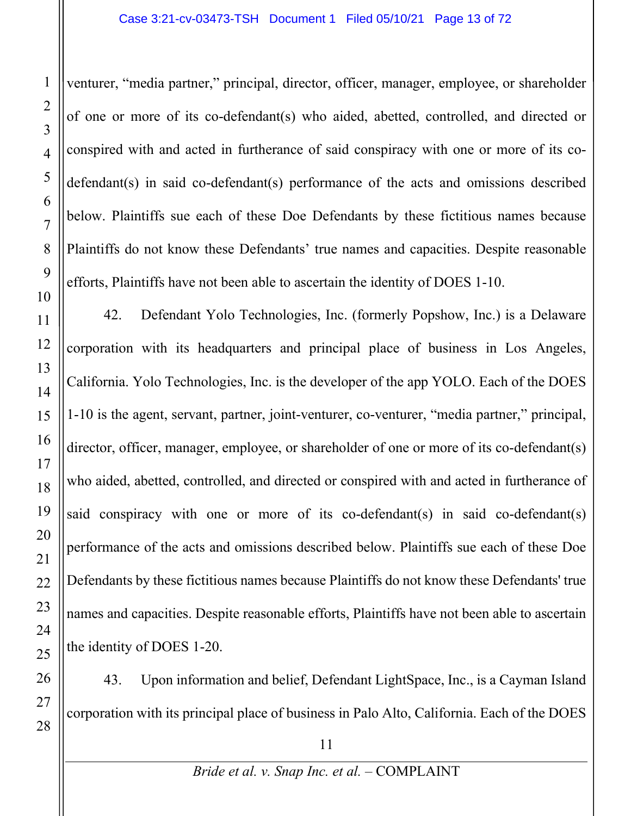venturer, "media partner," principal, director, officer, manager, employee, or shareholder of one or more of its co-defendant(s) who aided, abetted, controlled, and directed or conspired with and acted in furtherance of said conspiracy with one or more of its codefendant(s) in said co-defendant(s) performance of the acts and omissions described below. Plaintiffs sue each of these Doe Defendants by these fictitious names because Plaintiffs do not know these Defendants' true names and capacities. Despite reasonable efforts, Plaintiffs have not been able to ascertain the identity of DOES 1-10.

42. Defendant Yolo Technologies, Inc. (formerly Popshow, Inc.) is a Delaware corporation with its headquarters and principal place of business in Los Angeles, California. Yolo Technologies, Inc. is the developer of the app YOLO. Each of the DOES 1-10 is the agent, servant, partner, joint-venturer, co-venturer, "media partner," principal, director, officer, manager, employee, or shareholder of one or more of its co-defendant(s) who aided, abetted, controlled, and directed or conspired with and acted in furtherance of said conspiracy with one or more of its co-defendant(s) in said co-defendant(s) performance of the acts and omissions described below. Plaintiffs sue each of these Doe Defendants by these fictitious names because Plaintiffs do not know these Defendants' true names and capacities. Despite reasonable efforts, Plaintiffs have not been able to ascertain the identity of DOES 1-20.

43. Upon information and belief, Defendant LightSpace, Inc., is a Cayman Island corporation with its principal place of business in Palo Alto, California. Each of the DOES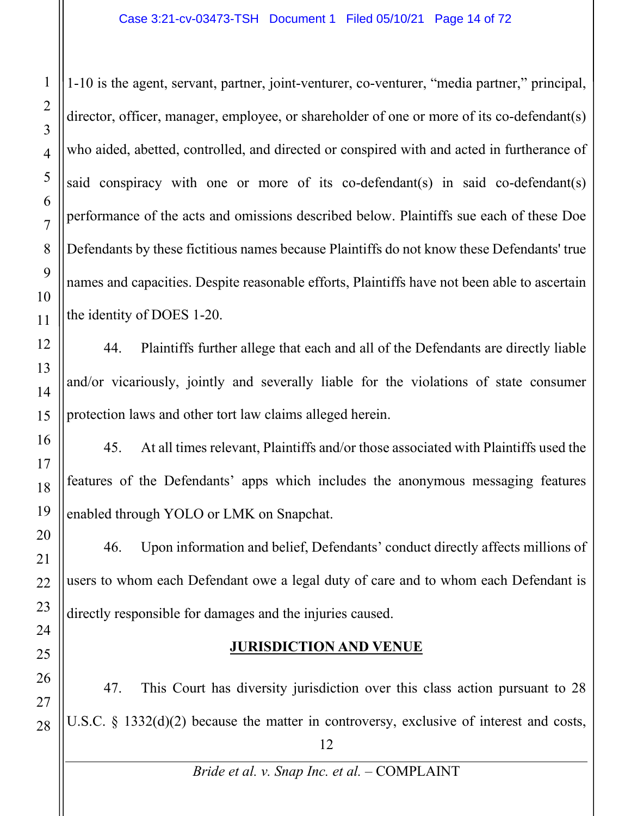1-10 is the agent, servant, partner, joint-venturer, co-venturer, "media partner," principal, director, officer, manager, employee, or shareholder of one or more of its co-defendant(s) who aided, abetted, controlled, and directed or conspired with and acted in furtherance of said conspiracy with one or more of its co-defendant(s) in said co-defendant(s) performance of the acts and omissions described below. Plaintiffs sue each of these Doe Defendants by these fictitious names because Plaintiffs do not know these Defendants' true names and capacities. Despite reasonable efforts, Plaintiffs have not been able to ascertain the identity of DOES 1-20.

44. Plaintiffs further allege that each and all of the Defendants are directly liable and/or vicariously, jointly and severally liable for the violations of state consumer protection laws and other tort law claims alleged herein.

45. At all times relevant, Plaintiffs and/or those associated with Plaintiffs used the features of the Defendants' apps which includes the anonymous messaging features enabled through YOLO or LMK on Snapchat.

46. Upon information and belief, Defendants' conduct directly affects millions of users to whom each Defendant owe a legal duty of care and to whom each Defendant is directly responsible for damages and the injuries caused.

# **JURISDICTION AND VENUE**

12 47. This Court has diversity jurisdiction over this class action pursuant to 28 U.S.C. § 1332(d)(2) because the matter in controversy, exclusive of interest and costs,

1

2

3

*Bride et al. v. Snap Inc. et al.* – COMPLAINT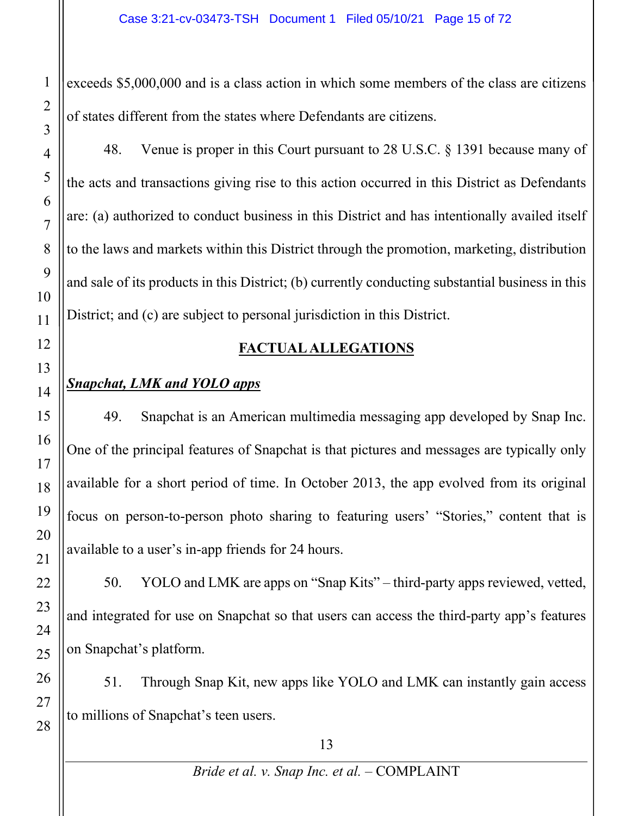exceeds \$5,000,000 and is a class action in which some members of the class are citizens of states different from the states where Defendants are citizens.

48. Venue is proper in this Court pursuant to 28 U.S.C. § 1391 because many of the acts and transactions giving rise to this action occurred in this District as Defendants are: (a) authorized to conduct business in this District and has intentionally availed itself to the laws and markets within this District through the promotion, marketing, distribution and sale of its products in this District; (b) currently conducting substantial business in this District; and (c) are subject to personal jurisdiction in this District.

# **FACTUAL ALLEGATIONS**

# *Snapchat, LMK and YOLO apps*

49. Snapchat is an American multimedia messaging app developed by Snap Inc. One of the principal features of Snapchat is that pictures and messages are typically only available for a short period of time. In October 2013, the app evolved from its original focus on person-to-person photo sharing to featuring users' "Stories," content that is available to a user's in-app friends for 24 hours.

50. YOLO and LMK are apps on "Snap Kits" – third-party apps reviewed, vetted, and integrated for use on Snapchat so that users can access the third-party app's features on Snapchat's platform.

51. Through Snap Kit, new apps like YOLO and LMK can instantly gain access to millions of Snapchat's teen users.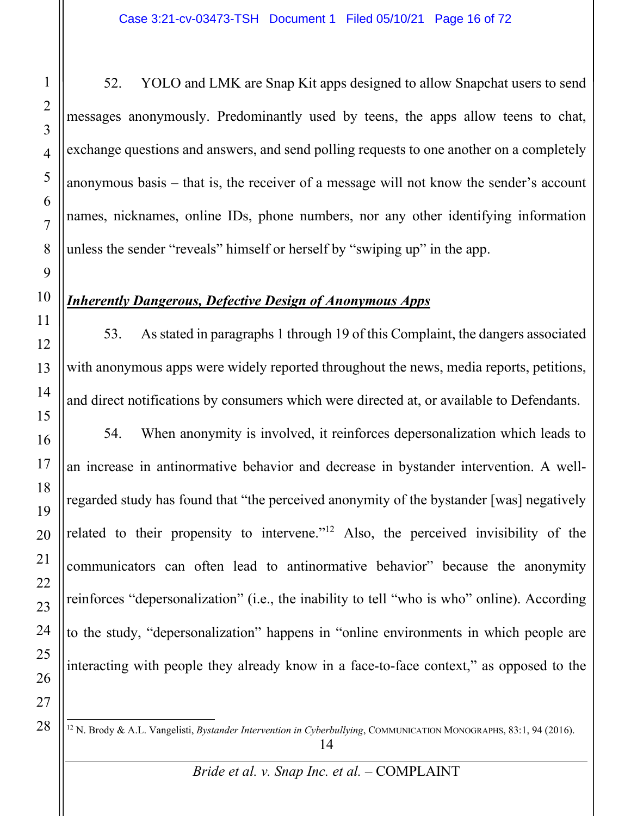52. YOLO and LMK are Snap Kit apps designed to allow Snapchat users to send messages anonymously. Predominantly used by teens, the apps allow teens to chat, exchange questions and answers, and send polling requests to one another on a completely anonymous basis – that is, the receiver of a message will not know the sender's account names, nicknames, online IDs, phone numbers, nor any other identifying information unless the sender "reveals" himself or herself by "swiping up" in the app.

# *Inherently Dangerous, Defective Design of Anonymous Apps*

53. As stated in paragraphs 1 through 19 of this Complaint, the dangers associated with anonymous apps were widely reported throughout the news, media reports, petitions, and direct notifications by consumers which were directed at, or available to Defendants.

54. When anonymity is involved, it reinforces depersonalization which leads to an increase in antinormative behavior and decrease in bystander intervention. A wellregarded study has found that "the perceived anonymity of the bystander [was] negatively related to their propensity to intervene."12 Also, the perceived invisibility of the communicators can often lead to antinormative behavior" because the anonymity reinforces "depersonalization" (i.e., the inability to tell "who is who" online). According to the study, "depersonalization" happens in "online environments in which people are interacting with people they already know in a face-to-face context," as opposed to the

<sup>14</sup> <sup>12</sup> N. Brody & A.L. Vangelisti, *Bystander Intervention in Cyberbullying*, COMMUNICATION MONOGRAPHS, 83:1, 94 (2016).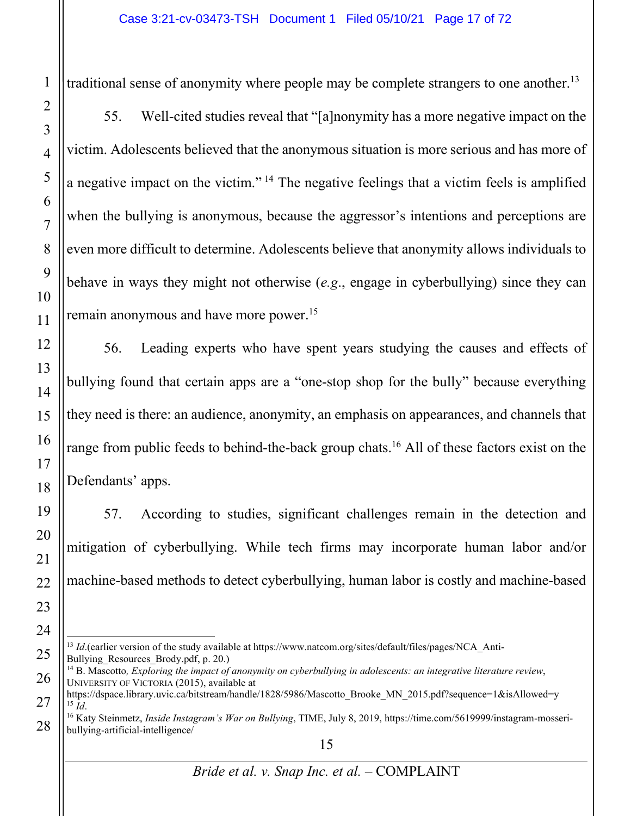traditional sense of anonymity where people may be complete strangers to one another.<sup>13</sup>

55. Well-cited studies reveal that "[a]nonymity has a more negative impact on the victim. Adolescents believed that the anonymous situation is more serious and has more of a negative impact on the victim." <sup>14</sup> The negative feelings that a victim feels is amplified when the bullying is anonymous, because the aggressor's intentions and perceptions are even more difficult to determine. Adolescents believe that anonymity allows individuals to behave in ways they might not otherwise (*e.g*., engage in cyberbullying) since they can remain anonymous and have more power.15

56. Leading experts who have spent years studying the causes and effects of bullying found that certain apps are a "one-stop shop for the bully" because everything they need is there: an audience, anonymity, an emphasis on appearances, and channels that range from public feeds to behind-the-back group chats.<sup>16</sup> All of these factors exist on the Defendants' apps.

57. According to studies, significant challenges remain in the detection and mitigation of cyberbullying. While tech firms may incorporate human labor and/or machine-based methods to detect cyberbullying, human labor is costly and machine-based

<sup>13</sup> *Id*.(earlier version of the study available at https://www.natcom.org/sites/default/files/pages/NCA\_Anti-Bullying Resources Brody.pdf, p. 20.)

<sup>14</sup> B. Mascotto*, Exploring the impact of anonymity on cyberbullying in adolescents: an integrative literature review*, UNIVERSITY OF VICTORIA (2015), available at

https://dspace.library.uvic.ca/bitstream/handle/1828/5986/Mascotto\_Brooke\_MN\_2015.pdf?sequence=1&isAllowed=y<br><sup>15</sup> Id

<sup>&</sup>lt;sup>16</sup> Katy Steinmetz, *Inside Instagram's War on Bullying*, TIME, July 8, 2019, https://time.com/5619999/instagram-mosseribullying-artificial-intelligence/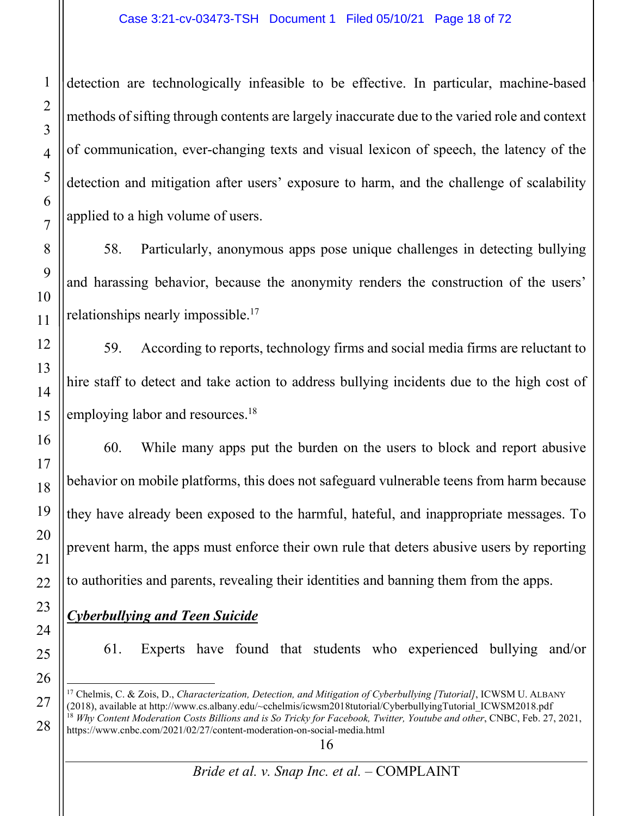detection are technologically infeasible to be effective. In particular, machine-based methods of sifting through contents are largely inaccurate due to the varied role and context of communication, ever-changing texts and visual lexicon of speech, the latency of the detection and mitigation after users' exposure to harm, and the challenge of scalability applied to a high volume of users.

58. Particularly, anonymous apps pose unique challenges in detecting bullying and harassing behavior, because the anonymity renders the construction of the users' relationships nearly impossible.<sup>17</sup>

59. According to reports, technology firms and social media firms are reluctant to hire staff to detect and take action to address bullying incidents due to the high cost of employing labor and resources.<sup>18</sup>

60. While many apps put the burden on the users to block and report abusive behavior on mobile platforms, this does not safeguard vulnerable teens from harm because they have already been exposed to the harmful, hateful, and inappropriate messages. To prevent harm, the apps must enforce their own rule that deters abusive users by reporting to authorities and parents, revealing their identities and banning them from the apps.

# *Cyberbullying and Teen Suicide*

61. Experts have found that students who experienced bullying and/or

<sup>17</sup> Chelmis, C. & Zois, D., *Characterization, Detection, and Mitigation of Cyberbullying [Tutorial]*, ICWSM U. ALBANY (2018), available at http://www.cs.albany.edu/~cchelmis/icwsm2018tutorial/CyberbullyingTutorial\_ICWSM2018.pdf <sup>18</sup> *Why Content Moderation Costs Billions and is So Tricky for Facebook, Twitter, Youtube and other*, CNBC, Feb. 27, 2021, https://www.cnbc.com/2021/02/27/content-moderation-on-social-media.html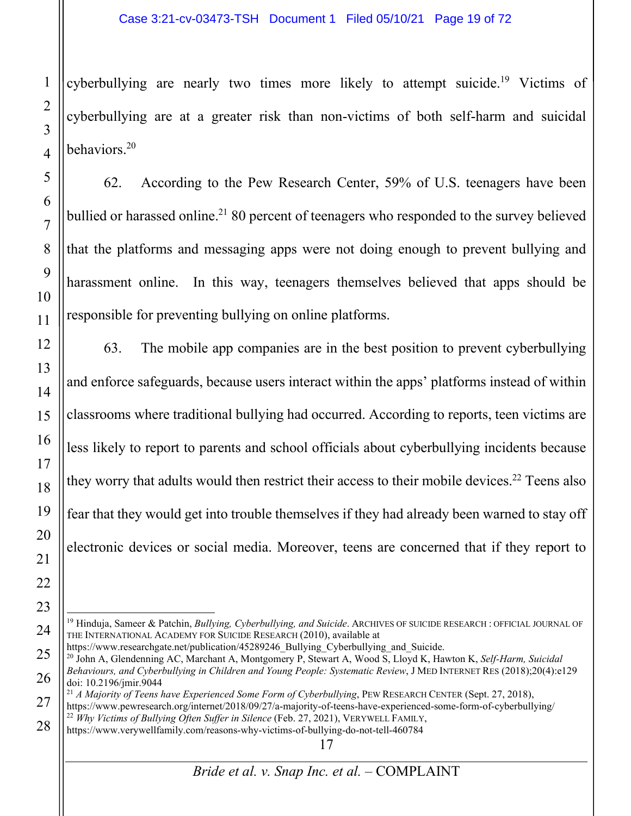cyberbullying are nearly two times more likely to attempt suicide.<sup>19</sup> Victims of cyberbullying are at a greater risk than non-victims of both self-harm and suicidal behaviors.20

62. According to the Pew Research Center, 59% of U.S. teenagers have been bullied or harassed online.<sup>21</sup> 80 percent of teenagers who responded to the survey believed that the platforms and messaging apps were not doing enough to prevent bullying and harassment online. In this way, teenagers themselves believed that apps should be responsible for preventing bullying on online platforms.

63. The mobile app companies are in the best position to prevent cyberbullying and enforce safeguards, because users interact within the apps' platforms instead of within classrooms where traditional bullying had occurred. According to reports, teen victims are less likely to report to parents and school officials about cyberbullying incidents because they worry that adults would then restrict their access to their mobile devices. <sup>22</sup> Teens also fear that they would get into trouble themselves if they had already been warned to stay off electronic devices or social media. Moreover, teens are concerned that if they report to

<sup>19</sup> Hinduja, Sameer & Patchin, *Bullying, Cyberbullying, and Suicide*. ARCHIVES OF SUICIDE RESEARCH : OFFICIAL JOURNAL OF THE INTERNATIONAL ACADEMY FOR SUICIDE RESEARCH (2010), available at https://www.researchgate.net/publication/45289246 Bullying Cyberbullying and Suicide.

<sup>&</sup>lt;sup>20</sup> John A, Glendenning AC, Marchant A, Montgomery P, Stewart A, Wood S, Lloyd K, Hawton K, *Self-Harm, Suicidal Behaviours, and Cyberbullying in Children and Young People: Systematic Review*, J MED INTERNET RES (2018);20(4):e129 doi: 10.2196/jmir.9044

<sup>21</sup> *A Majority of Teens have Experienced Some Form of Cyberbullying*, PEW RESEARCH CENTER (Sept. 27, 2018), https://www.pewresearch.org/internet/2018/09/27/a-majority-of-teens-have-experienced-some-form-of-cyberbullying/ <sup>22</sup> *Why Victims of Bullying Often Suffer in Silence* (Feb. 27, 2021), VERYWELL FAMILY,

https://www.verywellfamily.com/reasons-why-victims-of-bullying-do-not-tell-460784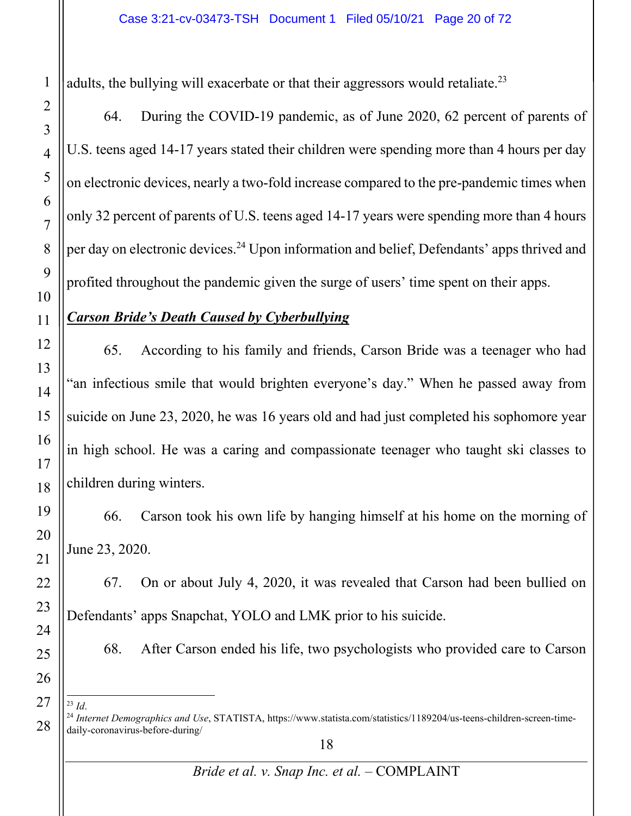adults, the bullying will exacerbate or that their aggressors would retaliate.<sup>23</sup>

64. During the COVID-19 pandemic, as of June 2020, 62 percent of parents of U.S. teens aged 14-17 years stated their children were spending more than 4 hours per day on electronic devices, nearly a two-fold increase compared to the pre-pandemic times when only 32 percent of parents of U.S. teens aged 14-17 years were spending more than 4 hours per day on electronic devices.24 Upon information and belief, Defendants' apps thrived and profited throughout the pandemic given the surge of users' time spent on their apps.

#### *Carson Bride's Death Caused by Cyberbullying*

65. According to his family and friends, Carson Bride was a teenager who had "an infectious smile that would brighten everyone's day." When he passed away from suicide on June 23, 2020, he was 16 years old and had just completed his sophomore year in high school. He was a caring and compassionate teenager who taught ski classes to children during winters.

66. Carson took his own life by hanging himself at his home on the morning of June 23, 2020.

67. On or about July 4, 2020, it was revealed that Carson had been bullied on Defendants' apps Snapchat, YOLO and LMK prior to his suicide.

68. After Carson ended his life, two psychologists who provided care to Carson

<sup>&</sup>lt;sup>23</sup> *Id.* 24 *Internet Demographics and Use*, STATISTA, https://www.statista.com/statistics/1189204/us-teens-children-screen-timedaily-coronavirus-before-during/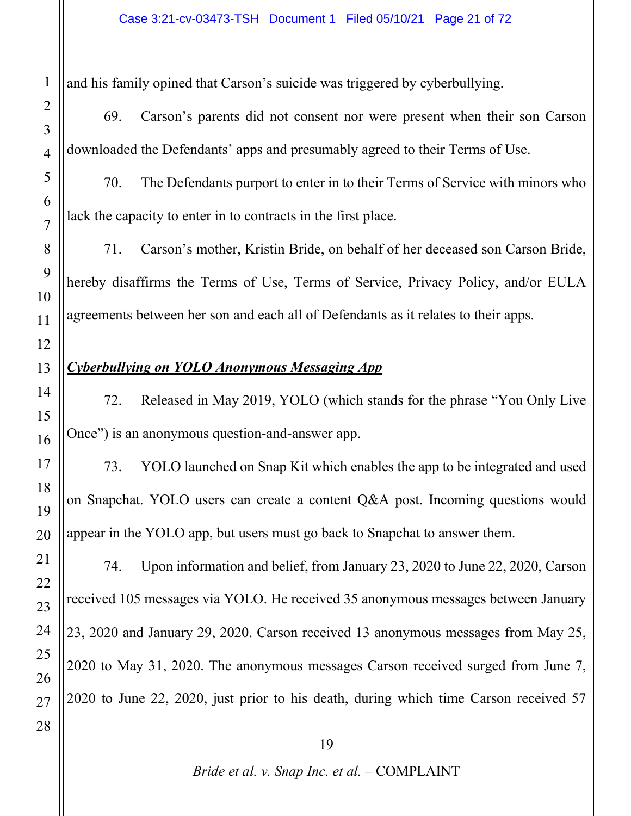and his family opined that Carson's suicide was triggered by cyberbullying.

69. Carson's parents did not consent nor were present when their son Carson downloaded the Defendants' apps and presumably agreed to their Terms of Use.

70. The Defendants purport to enter in to their Terms of Service with minors who lack the capacity to enter in to contracts in the first place.

71. Carson's mother, Kristin Bride, on behalf of her deceased son Carson Bride, hereby disaffirms the Terms of Use, Terms of Service, Privacy Policy, and/or EULA agreements between her son and each all of Defendants as it relates to their apps.

# *Cyberbullying on YOLO Anonymous Messaging App*

72. Released in May 2019, YOLO (which stands for the phrase "You Only Live Once") is an anonymous question-and-answer app.

73. YOLO launched on Snap Kit which enables the app to be integrated and used on Snapchat. YOLO users can create a content Q&A post. Incoming questions would appear in the YOLO app, but users must go back to Snapchat to answer them.

74. Upon information and belief, from January 23, 2020 to June 22, 2020, Carson received 105 messages via YOLO. He received 35 anonymous messages between January 23, 2020 and January 29, 2020. Carson received 13 anonymous messages from May 25, 2020 to May 31, 2020. The anonymous messages Carson received surged from June 7, 2020 to June 22, 2020, just prior to his death, during which time Carson received 57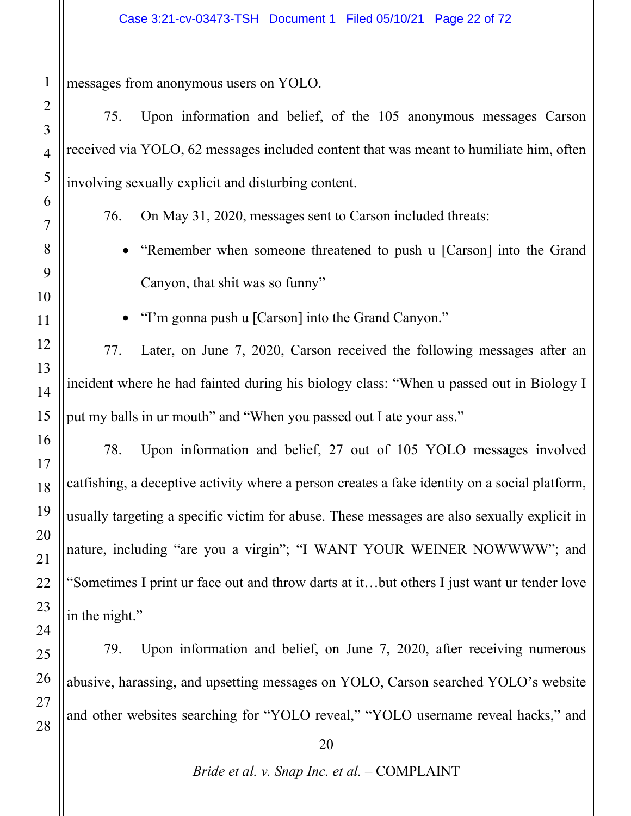messages from anonymous users on YOLO.

75. Upon information and belief, of the 105 anonymous messages Carson received via YOLO, 62 messages included content that was meant to humiliate him, often involving sexually explicit and disturbing content.

76. On May 31, 2020, messages sent to Carson included threats:

• "Remember when someone threatened to push u [Carson] into the Grand Canyon, that shit was so funny"

"I'm gonna push u [Carson] into the Grand Canyon."

77. Later, on June 7, 2020, Carson received the following messages after an incident where he had fainted during his biology class: "When u passed out in Biology I put my balls in ur mouth" and "When you passed out I ate your ass."

78. Upon information and belief, 27 out of 105 YOLO messages involved catfishing, a deceptive activity where a person creates a fake identity on a social platform, usually targeting a specific victim for abuse. These messages are also sexually explicit in nature, including "are you a virgin"; "I WANT YOUR WEINER NOWWWW"; and "Sometimes I print ur face out and throw darts at it…but others I just want ur tender love in the night."

79. Upon information and belief, on June 7, 2020, after receiving numerous abusive, harassing, and upsetting messages on YOLO, Carson searched YOLO's website and other websites searching for "YOLO reveal," "YOLO username reveal hacks," and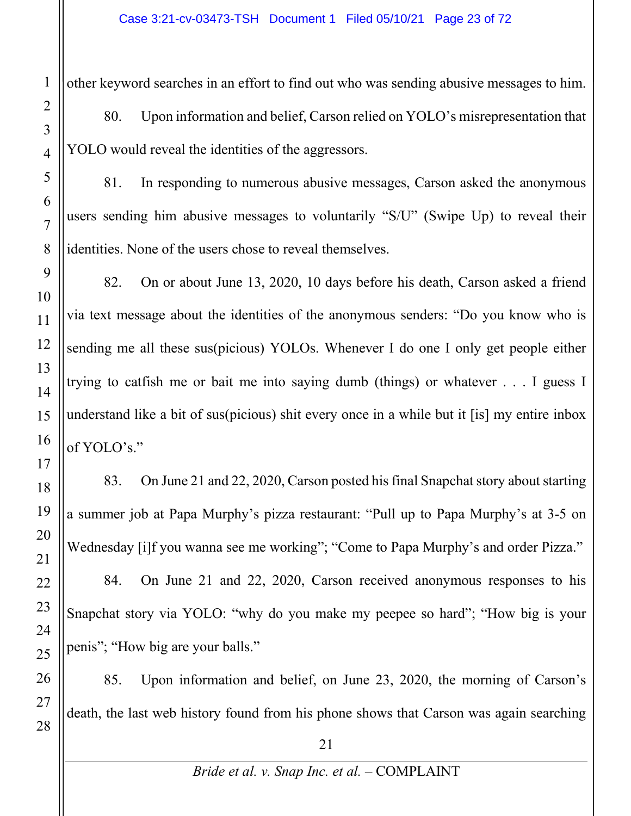other keyword searches in an effort to find out who was sending abusive messages to him.

80. Upon information and belief, Carson relied on YOLO's misrepresentation that YOLO would reveal the identities of the aggressors.

81. In responding to numerous abusive messages, Carson asked the anonymous users sending him abusive messages to voluntarily "S/U" (Swipe Up) to reveal their identities. None of the users chose to reveal themselves.

82. On or about June 13, 2020, 10 days before his death, Carson asked a friend via text message about the identities of the anonymous senders: "Do you know who is sending me all these sus(picious) YOLOs. Whenever I do one I only get people either trying to catfish me or bait me into saying dumb (things) or whatever . . . I guess I understand like a bit of sus(picious) shit every once in a while but it [is] my entire inbox of YOLO's."

83. On June 21 and 22, 2020, Carson posted his final Snapchat story about starting a summer job at Papa Murphy's pizza restaurant: "Pull up to Papa Murphy's at 3-5 on Wednesday [i]f you wanna see me working"; "Come to Papa Murphy's and order Pizza."

84. On June 21 and 22, 2020, Carson received anonymous responses to his Snapchat story via YOLO: "why do you make my peepee so hard"; "How big is your penis"; "How big are your balls."

85. Upon information and belief, on June 23, 2020, the morning of Carson's death, the last web history found from his phone shows that Carson was again searching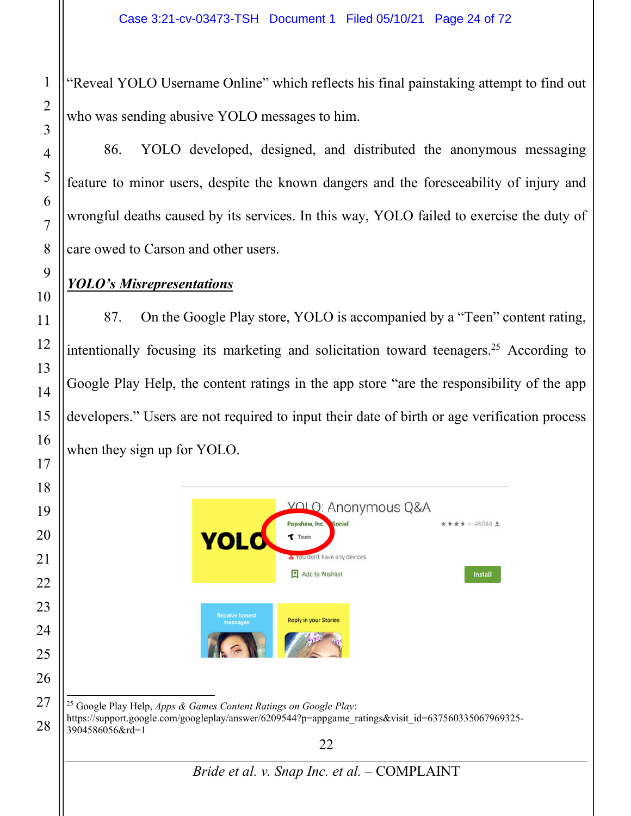"Reveal YOLO Username Online" which reflects his final painstaking attempt to find out who was sending abusive YOLO messages to him.

86. YOLO developed, designed, and distributed the anonymous messaging feature to minor users, despite the known dangers and the foreseeability of injury and wrongful deaths caused by its services. In this way, YOLO failed to exercise the duty of care owed to Carson and other users.

#### *YOLO's Misrepresentations*

87. On the Google Play store, YOLO is accompanied by a "Teen" content rating, intentionally focusing its marketing and solicitation toward teenagers.25 According to Google Play Help, the content ratings in the app store "are the responsibility of the app developers." Users are not required to input their date of birth or age verification process when they sign up for YOLO.

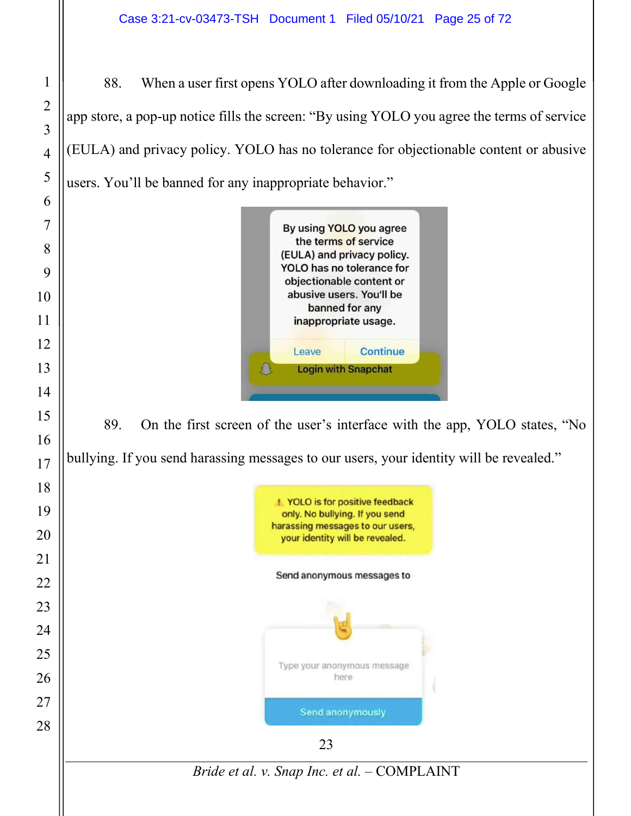88. When a user first opens YOLO after downloading it from the Apple or Google app store, a pop-up notice fills the screen: "By using YOLO you agree the terms of service (EULA) and privacy policy. YOLO has no tolerance for objectionable content or abusive users. You'll be banned for any inappropriate behavior."



89. On the first screen of the user's interface with the app, YOLO states, "No bullying. If you send harassing messages to our users, your identity will be revealed."

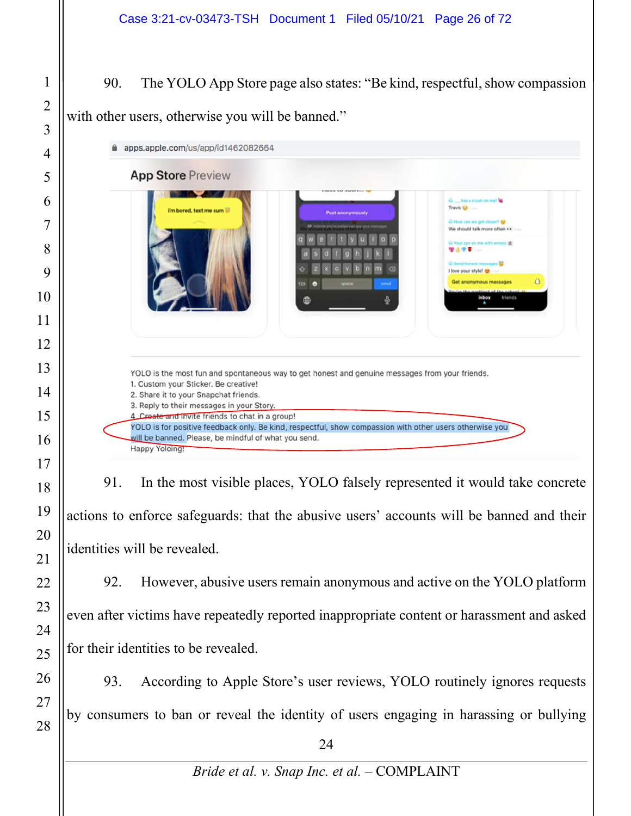90. The YOLO App Store page also states: "Be kind, respectful, show compassion with other users, otherwise you will be banned."



91. In the most visible places, YOLO falsely represented it would take concrete actions to enforce safeguards: that the abusive users' accounts will be banned and their identities will be revealed.

92. However, abusive users remain anonymous and active on the YOLO platform even after victims have repeatedly reported inappropriate content or harassment and asked for their identities to be revealed.

93. According to Apple Store's user reviews, YOLO routinely ignores requests by consumers to ban or reveal the identity of users engaging in harassing or bullying

*Bride et al. v. Snap Inc. et al.* – COMPLAINT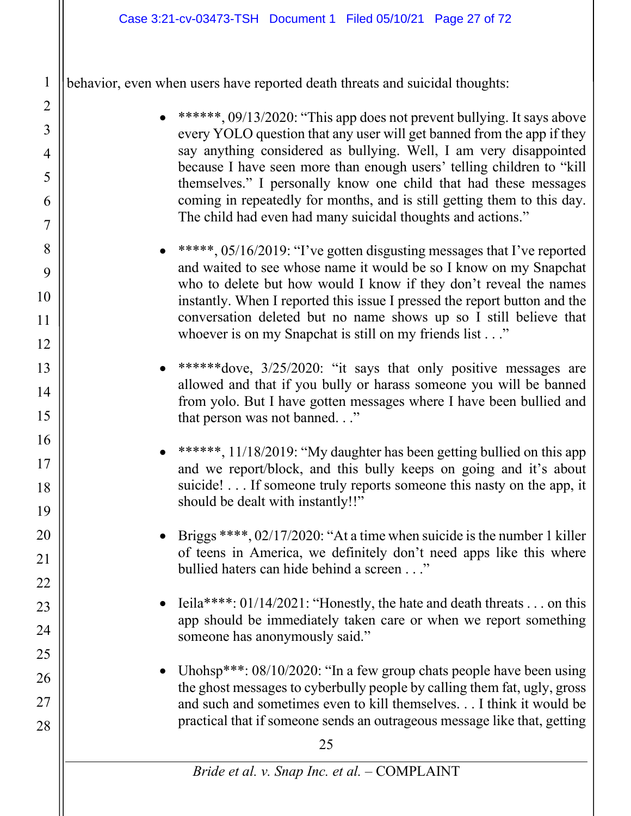behavior, even when users have reported death threats and suicidal thoughts:

1

2

3

4

5

6

7

8

9

10

11

12

13

14

15

16

17

18

19

20

21

22

23

24

25

26

27

- \*\*\*\*\*\*, 09/13/2020: "This app does not prevent bullying. It says above every YOLO question that any user will get banned from the app if they say anything considered as bullying. Well, I am very disappointed because I have seen more than enough users' telling children to "kill themselves." I personally know one child that had these messages coming in repeatedly for months, and is still getting them to this day. The child had even had many suicidal thoughts and actions."
- \*\*\*\*\*, 05/16/2019: "I've gotten disgusting messages that I've reported and waited to see whose name it would be so I know on my Snapchat who to delete but how would I know if they don't reveal the names instantly. When I reported this issue I pressed the report button and the conversation deleted but no name shows up so I still believe that whoever is on my Snapchat is still on my friends list . . ."
- \*\*\*\*\*\*dove, 3/25/2020: "it says that only positive messages are allowed and that if you bully or harass someone you will be banned from yolo. But I have gotten messages where I have been bullied and that person was not banned. . ."
- \*\*\*\*\*\*, 11/18/2019: "My daughter has been getting bullied on this app and we report/block, and this bully keeps on going and it's about suicide! . . . If someone truly reports someone this nasty on the app, it should be dealt with instantly!!"
- Briggs \*\*\*\*,  $02/17/2020$ : "At a time when suicide is the number 1 killer of teens in America, we definitely don't need apps like this where bullied haters can hide behind a screen . . ."
- Ieila\*\*\*\*:  $01/14/2021$ : "Honestly, the hate and death threats . . . on this app should be immediately taken care or when we report something someone has anonymously said."
- Uhohsp\*\*\*: 08/10/2020: "In a few group chats people have been using the ghost messages to cyberbully people by calling them fat, ugly, gross and such and sometimes even to kill themselves. . . I think it would be practical that if someone sends an outrageous message like that, getting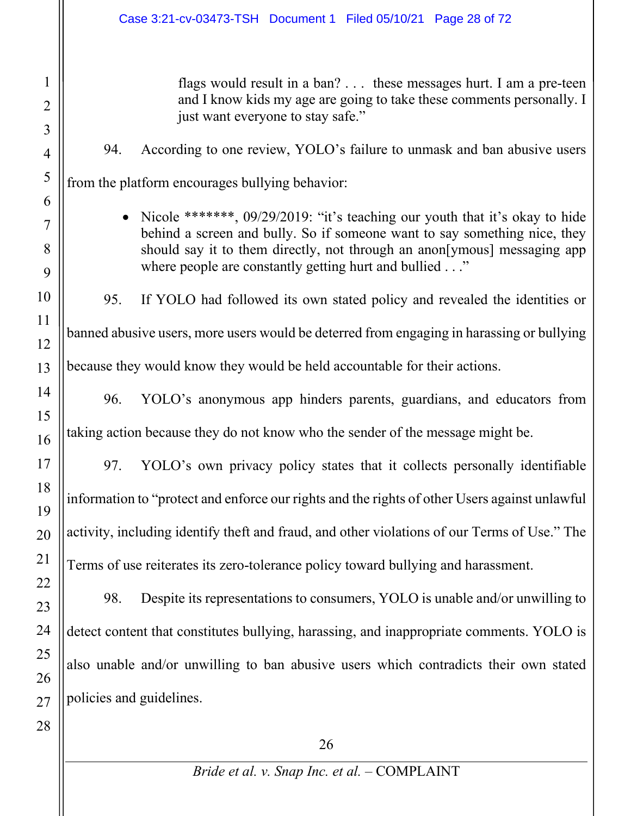flags would result in a ban? . . . these messages hurt. I am a pre-teen and I know kids my age are going to take these comments personally. I just want everyone to stay safe."

# 94. According to one review, YOLO's failure to unmask and ban abusive users

from the platform encourages bullying behavior:

• Nicole \*\*\*\*\*\*\*,  $09/29/2019$ : "it's teaching our youth that it's okay to hide behind a screen and bully. So if someone want to say something nice, they should say it to them directly, not through an anon[ymous] messaging app where people are constantly getting hurt and bullied ..."

95. If YOLO had followed its own stated policy and revealed the identities or banned abusive users, more users would be deterred from engaging in harassing or bullying because they would know they would be held accountable for their actions.

96. YOLO's anonymous app hinders parents, guardians, and educators from taking action because they do not know who the sender of the message might be.

97. YOLO's own privacy policy states that it collects personally identifiable information to "protect and enforce our rights and the rights of other Users against unlawful activity, including identify theft and fraud, and other violations of our Terms of Use." The Terms of use reiterates its zero-tolerance policy toward bullying and harassment.

98. Despite its representations to consumers, YOLO is unable and/or unwilling to detect content that constitutes bullying, harassing, and inappropriate comments. YOLO is also unable and/or unwilling to ban abusive users which contradicts their own stated policies and guidelines.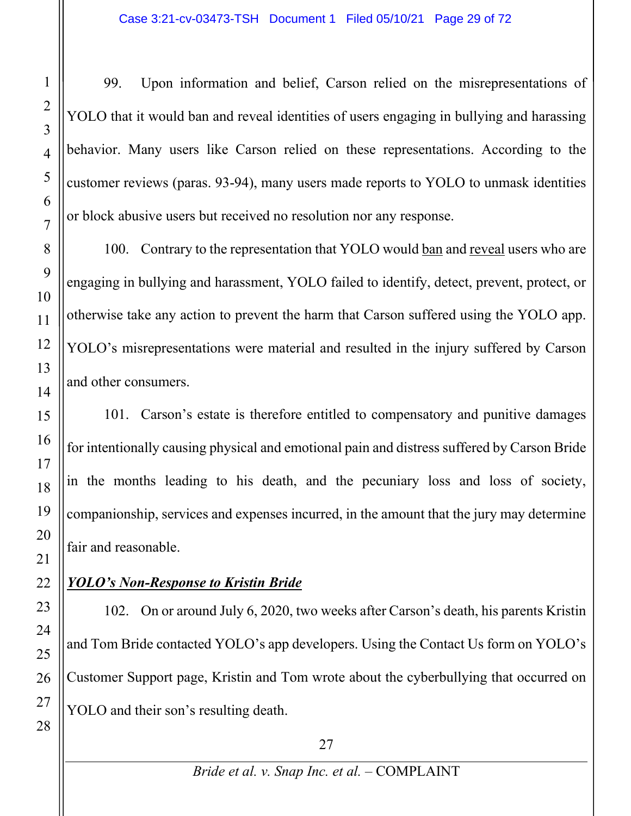99. Upon information and belief, Carson relied on the misrepresentations of YOLO that it would ban and reveal identities of users engaging in bullying and harassing behavior. Many users like Carson relied on these representations. According to the customer reviews (paras. 93-94), many users made reports to YOLO to unmask identities or block abusive users but received no resolution nor any response.

100. Contrary to the representation that YOLO would ban and reveal users who are engaging in bullying and harassment, YOLO failed to identify, detect, prevent, protect, or otherwise take any action to prevent the harm that Carson suffered using the YOLO app. YOLO's misrepresentations were material and resulted in the injury suffered by Carson and other consumers.

101. Carson's estate is therefore entitled to compensatory and punitive damages for intentionally causing physical and emotional pain and distress suffered by Carson Bride in the months leading to his death, and the pecuniary loss and loss of society, companionship, services and expenses incurred, in the amount that the jury may determine fair and reasonable.

# *YOLO's Non-Response to Kristin Bride*

102. On or around July 6, 2020, two weeks after Carson's death, his parents Kristin and Tom Bride contacted YOLO's app developers. Using the Contact Us form on YOLO's Customer Support page, Kristin and Tom wrote about the cyberbullying that occurred on YOLO and their son's resulting death.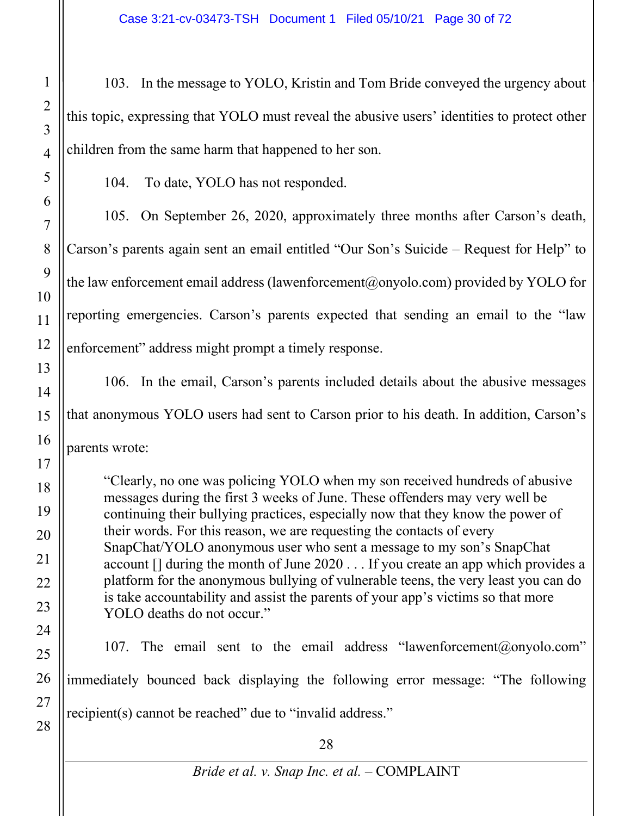103. In the message to YOLO, Kristin and Tom Bride conveyed the urgency about this topic, expressing that YOLO must reveal the abusive users' identities to protect other children from the same harm that happened to her son.

104. To date, YOLO has not responded.

105. On September 26, 2020, approximately three months after Carson's death, Carson's parents again sent an email entitled "Our Son's Suicide – Request for Help" to the law enforcement email address (lawenforcement@onyolo.com) provided by YOLO for reporting emergencies. Carson's parents expected that sending an email to the "law enforcement" address might prompt a timely response.

106. In the email, Carson's parents included details about the abusive messages that anonymous YOLO users had sent to Carson prior to his death. In addition, Carson's parents wrote:

"Clearly, no one was policing YOLO when my son received hundreds of abusive messages during the first 3 weeks of June. These offenders may very well be continuing their bullying practices, especially now that they know the power of their words. For this reason, we are requesting the contacts of every SnapChat/YOLO anonymous user who sent a message to my son's SnapChat account [] during the month of June 2020 . . . If you create an app which provides a platform for the anonymous bullying of vulnerable teens, the very least you can do is take accountability and assist the parents of your app's victims so that more YOLO deaths do not occur."

107. The email sent to the email address "lawenforcement@onyolo.com" immediately bounced back displaying the following error message: "The following recipient(s) cannot be reached" due to "invalid address."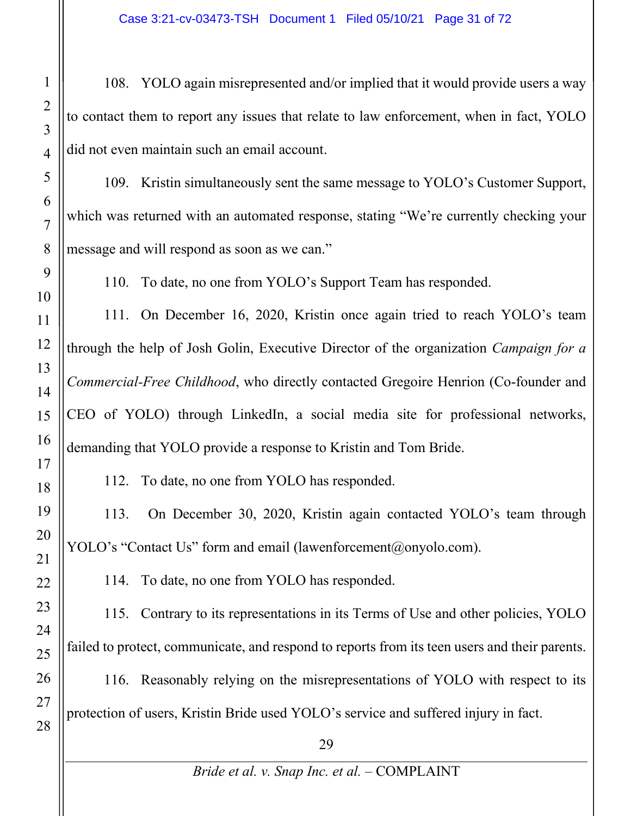108. YOLO again misrepresented and/or implied that it would provide users a way to contact them to report any issues that relate to law enforcement, when in fact, YOLO did not even maintain such an email account.

109. Kristin simultaneously sent the same message to YOLO's Customer Support, which was returned with an automated response, stating "We're currently checking your message and will respond as soon as we can."

110. To date, no one from YOLO's Support Team has responded.

111. On December 16, 2020, Kristin once again tried to reach YOLO's team through the help of Josh Golin, Executive Director of the organization *Campaign for a Commercial-Free Childhood*, who directly contacted Gregoire Henrion (Co-founder and CEO of YOLO) through LinkedIn, a social media site for professional networks, demanding that YOLO provide a response to Kristin and Tom Bride.

112. To date, no one from YOLO has responded.

113. On December 30, 2020, Kristin again contacted YOLO's team through YOLO's "Contact Us" form and email (lawenforcement@onyolo.com).

114. To date, no one from YOLO has responded.

115. Contrary to its representations in its Terms of Use and other policies, YOLO failed to protect, communicate, and respond to reports from its teen users and their parents.

116. Reasonably relying on the misrepresentations of YOLO with respect to its protection of users, Kristin Bride used YOLO's service and suffered injury in fact.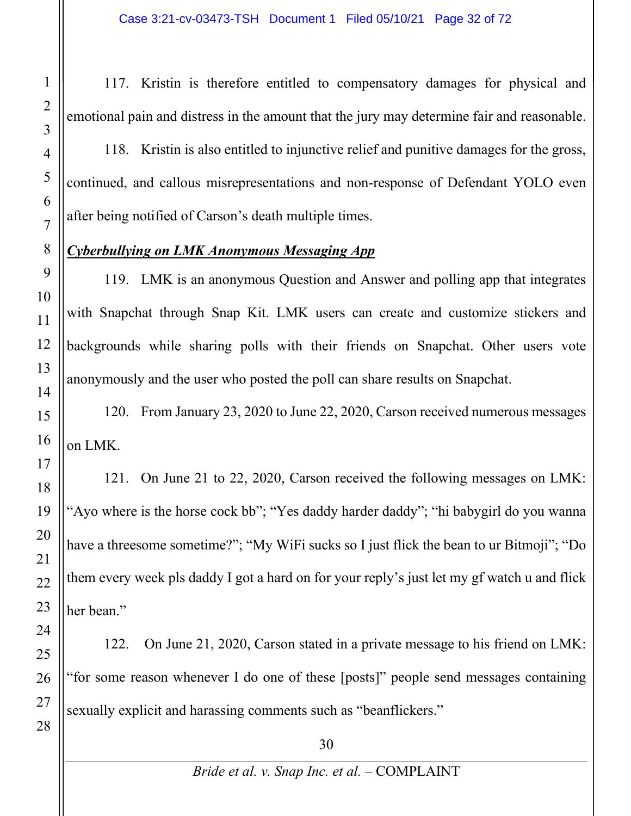117. Kristin is therefore entitled to compensatory damages for physical and emotional pain and distress in the amount that the jury may determine fair and reasonable.

118. Kristin is also entitled to injunctive relief and punitive damages for the gross, continued, and callous misrepresentations and non-response of Defendant YOLO even after being notified of Carson's death multiple times.

#### *Cyberbullying on LMK Anonymous Messaging App*

119. LMK is an anonymous Question and Answer and polling app that integrates with Snapchat through Snap Kit. LMK users can create and customize stickers and backgrounds while sharing polls with their friends on Snapchat. Other users vote anonymously and the user who posted the poll can share results on Snapchat.

120. From January 23, 2020 to June 22, 2020, Carson received numerous messages on LMK.

121. On June 21 to 22, 2020, Carson received the following messages on LMK: "Ayo where is the horse cock bb"; "Yes daddy harder daddy"; "hi babygirl do you wanna have a threesome sometime?"; "My WiFi sucks so I just flick the bean to ur Bitmoji"; "Do them every week pls daddy I got a hard on for your reply's just let my gf watch u and flick her bean."

122. On June 21, 2020, Carson stated in a private message to his friend on LMK: "for some reason whenever I do one of these [posts]" people send messages containing sexually explicit and harassing comments such as "beanflickers."

1

2

3

4

5

6

7

8

9

10

11

12

13

14

15

16

17

18

19

20

21

22

23

24

25

26

27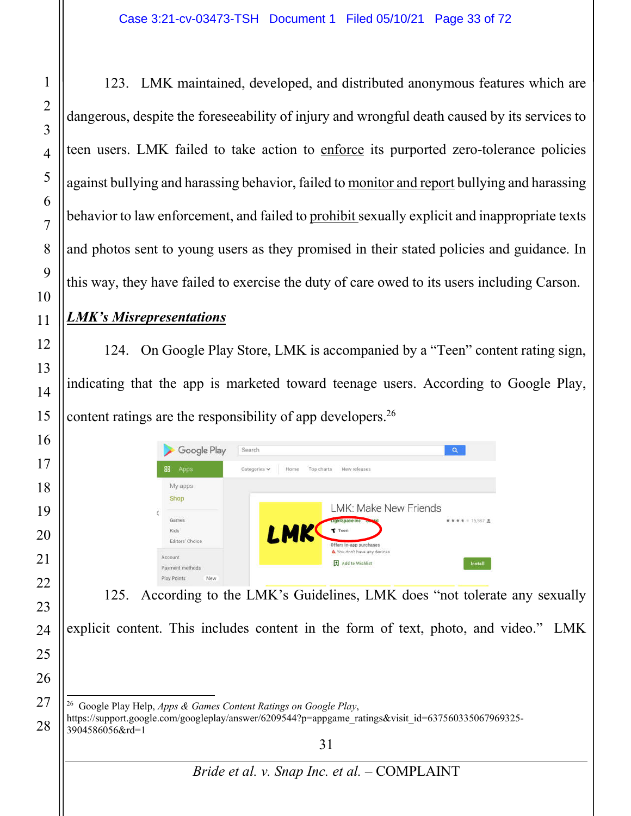123. LMK maintained, developed, and distributed anonymous features which are dangerous, despite the foreseeability of injury and wrongful death caused by its services to teen users. LMK failed to take action to enforce its purported zero-tolerance policies against bullying and harassing behavior, failed to monitor and report bullying and harassing behavior to law enforcement, and failed to prohibit sexually explicit and inappropriate texts and photos sent to young users as they promised in their stated policies and guidance. In this way, they have failed to exercise the duty of care owed to its users including Carson.

#### *LMK's Misrepresentations*

124. On Google Play Store, LMK is accompanied by a "Teen" content rating sign, indicating that the app is marketed toward teenage users. According to Google Play, content ratings are the responsibility of app developers.<sup>26</sup>

| Google Play                                                                                     | Search                                                                                              | $\alpha$           |
|-------------------------------------------------------------------------------------------------|-----------------------------------------------------------------------------------------------------|--------------------|
| 88<br>Apps                                                                                      | Categories $\vee$<br>Top charts<br>New releases<br>Home                                             |                    |
| My apps<br><b>Shop</b>                                                                          | LMK: Make New Friends                                                                               |                    |
| Games<br>Kids<br>Editors' Choice                                                                | ughtSpace in<br>LMK<br>$\tau$ Teen<br>Offers in-app purchases                                       | ★ ★ ★ ★ = 15.987 ± |
| Account<br>Payment methods<br>Play Points<br>New                                                | You don't have any devices<br>Add to Wishlist                                                       | Install            |
| 125.                                                                                            | According to the LMK's Guidelines, LMK does "not tolerate any sexually                              |                    |
|                                                                                                 | explicit content. This includes content in the form of text, photo, and video." LMK                 |                    |
| <sup>26</sup> Google Play Help, Apps & Games Content Ratings on Google Play,<br>3904586056&rd=1 | https://support.google.com/googleplay/answer/6209544?p=appgame ratings&visit id=637560335067969325- |                    |
|                                                                                                 | 31                                                                                                  |                    |

*Bride et al. v. Snap Inc. et al.* – COMPLAINT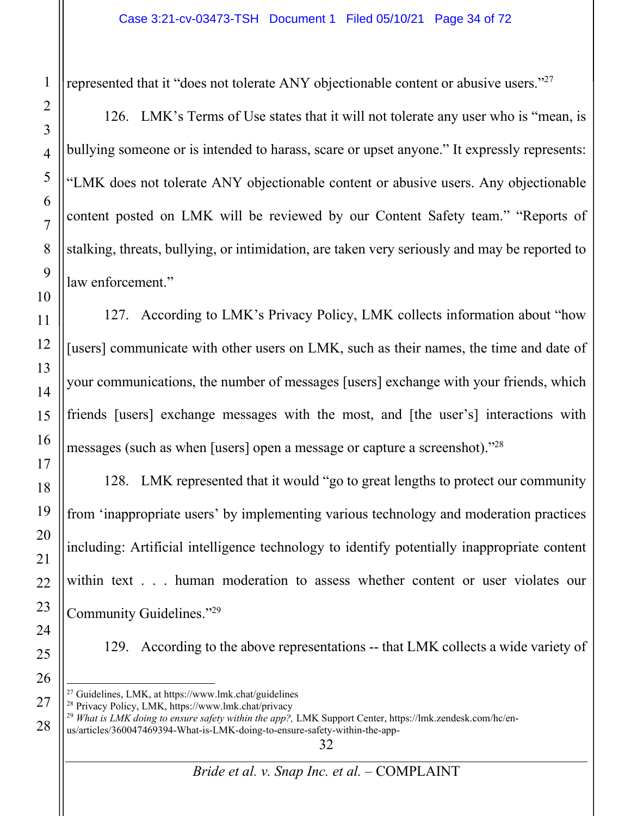represented that it "does not tolerate ANY objectionable content or abusive users."<sup>27</sup>

126. LMK's Terms of Use states that it will not tolerate any user who is "mean, is bullying someone or is intended to harass, scare or upset anyone." It expressly represents: "LMK does not tolerate ANY objectionable content or abusive users. Any objectionable content posted on LMK will be reviewed by our Content Safety team." "Reports of stalking, threats, bullying, or intimidation, are taken very seriously and may be reported to law enforcement."

127. According to LMK's Privacy Policy, LMK collects information about "how [users] communicate with other users on LMK, such as their names, the time and date of your communications, the number of messages [users] exchange with your friends, which friends [users] exchange messages with the most, and [the user's] interactions with messages (such as when [users] open a message or capture a screenshot)."28

128. LMK represented that it would "go to great lengths to protect our community from 'inappropriate users' by implementing various technology and moderation practices including: Artificial intelligence technology to identify potentially inappropriate content within text . . . human moderation to assess whether content or user violates our Community Guidelines."29

129. According to the above representations -- that LMK collects a wide variety of

 *What is LMK doing to ensure safety within the app?,* LMK Support Center, https://lmk.zendesk.com/hc/enus/articles/360047469394-What-is-LMK-doing-to-ensure-safety-within-the-app-

Guidelines, LMK, at https://www.lmk.chat/guidelines

Privacy Policy, LMK, https://www.lmk.chat/privacy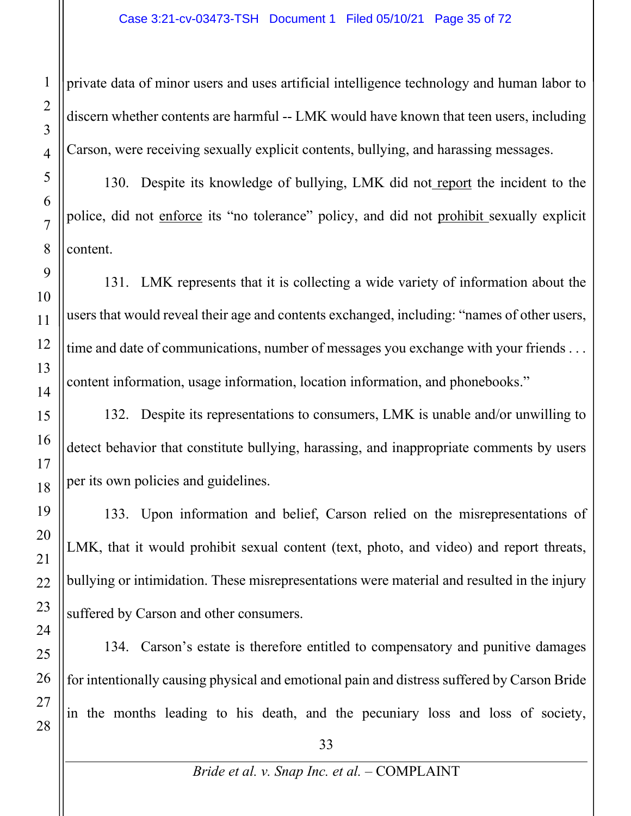private data of minor users and uses artificial intelligence technology and human labor to discern whether contents are harmful -- LMK would have known that teen users, including Carson, were receiving sexually explicit contents, bullying, and harassing messages.

130. Despite its knowledge of bullying, LMK did not report the incident to the police, did not enforce its "no tolerance" policy, and did not prohibit sexually explicit content.

131. LMK represents that it is collecting a wide variety of information about the users that would reveal their age and contents exchanged, including: "names of other users, time and date of communications, number of messages you exchange with your friends ... content information, usage information, location information, and phonebooks."

132. Despite its representations to consumers, LMK is unable and/or unwilling to detect behavior that constitute bullying, harassing, and inappropriate comments by users per its own policies and guidelines.

133. Upon information and belief, Carson relied on the misrepresentations of LMK, that it would prohibit sexual content (text, photo, and video) and report threats, bullying or intimidation. These misrepresentations were material and resulted in the injury suffered by Carson and other consumers.

134. Carson's estate is therefore entitled to compensatory and punitive damages for intentionally causing physical and emotional pain and distress suffered by Carson Bride in the months leading to his death, and the pecuniary loss and loss of society,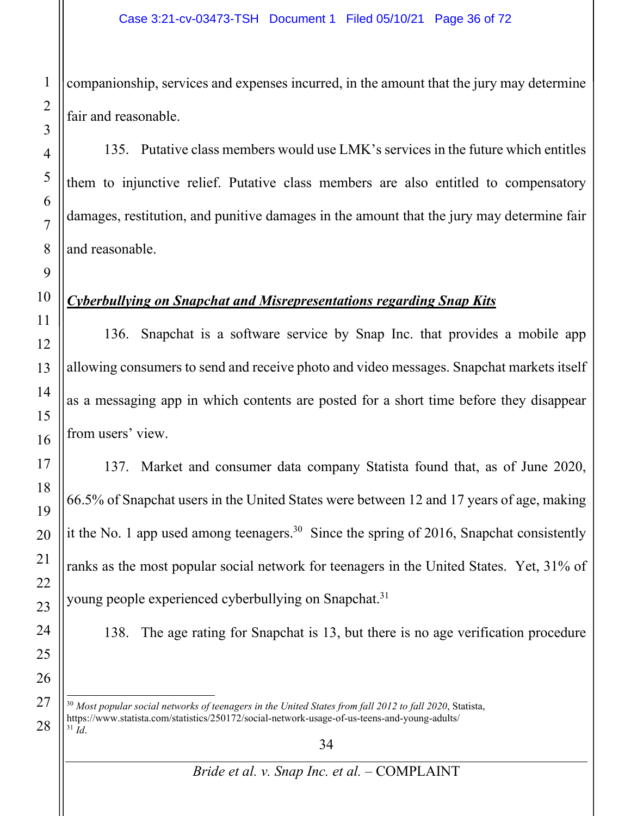companionship, services and expenses incurred, in the amount that the jury may determine fair and reasonable.

135. Putative class members would use LMK's services in the future which entitles them to injunctive relief. Putative class members are also entitled to compensatory damages, restitution, and punitive damages in the amount that the jury may determine fair and reasonable.

#### *Cyberbullying on Snapchat and Misrepresentations regarding Snap Kits*

136. Snapchat is a software service by Snap Inc. that provides a mobile app allowing consumers to send and receive photo and video messages. Snapchat markets itself as a messaging app in which contents are posted for a short time before they disappear from users' view.

137. Market and consumer data company Statista found that, as of June 2020, 66.5% of Snapchat users in the United States were between 12 and 17 years of age, making it the No. 1 app used among teenagers. 30 Since the spring of 2016, Snapchat consistently ranks as the most popular social network for teenagers in the United States. Yet, 31% of young people experienced cyberbullying on Snapchat.<sup>31</sup>

138. The age rating for Snapchat is 13, but there is no age verification procedure

 *Most popular social networks of teenagers in the United States from fall 2012 to fall 2020*, Statista, https://www.statista.com/statistics/250172/social-network-usage-of-us-teens-and-young-adults/ *Id*.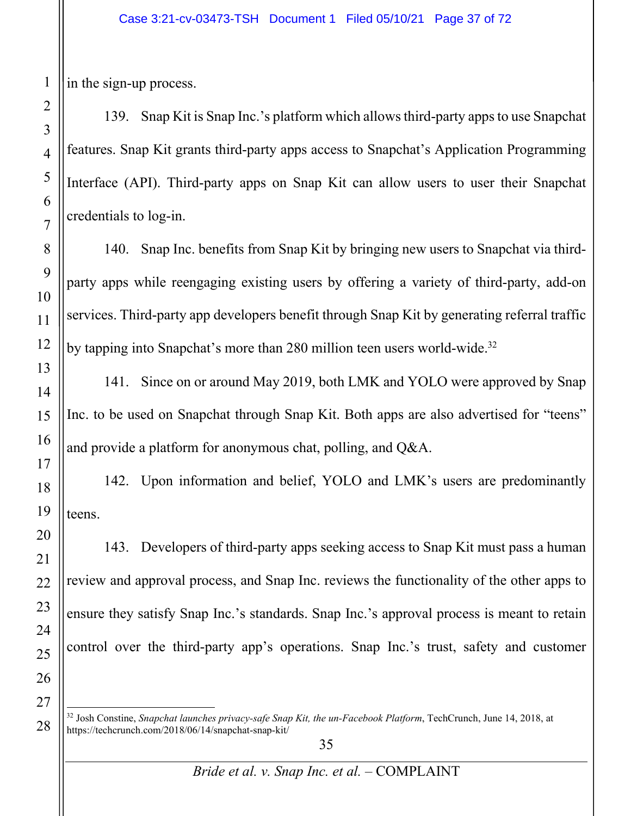in the sign-up process.

139. Snap Kit is Snap Inc.'s platform which allowsthird-party apps to use Snapchat features. Snap Kit grants third-party apps access to Snapchat's Application Programming Interface (API). Third-party apps on Snap Kit can allow users to user their Snapchat credentials to log-in.

140. Snap Inc. benefits from Snap Kit by bringing new users to Snapchat via thirdparty apps while reengaging existing users by offering a variety of third-party, add-on services. Third-party app developers benefit through Snap Kit by generating referral traffic by tapping into Snapchat's more than 280 million teen users world-wide.<sup>32</sup>

141. Since on or around May 2019, both LMK and YOLO were approved by Snap Inc. to be used on Snapchat through Snap Kit. Both apps are also advertised for "teens" and provide a platform for anonymous chat, polling, and Q&A.

142. Upon information and belief, YOLO and LMK's users are predominantly teens.

143. Developers of third-party apps seeking access to Snap Kit must pass a human review and approval process, and Snap Inc. reviews the functionality of the other apps to ensure they satisfy Snap Inc.'s standards. Snap Inc.'s approval process is meant to retain control over the third-party app's operations. Snap Inc.'s trust, safety and customer

<sup>32</sup> Josh Constine, *Snapchat launches privacy-safe Snap Kit, the un-Facebook Platform*, TechCrunch, June 14, 2018, at https://techcrunch.com/2018/06/14/snapchat-snap-kit/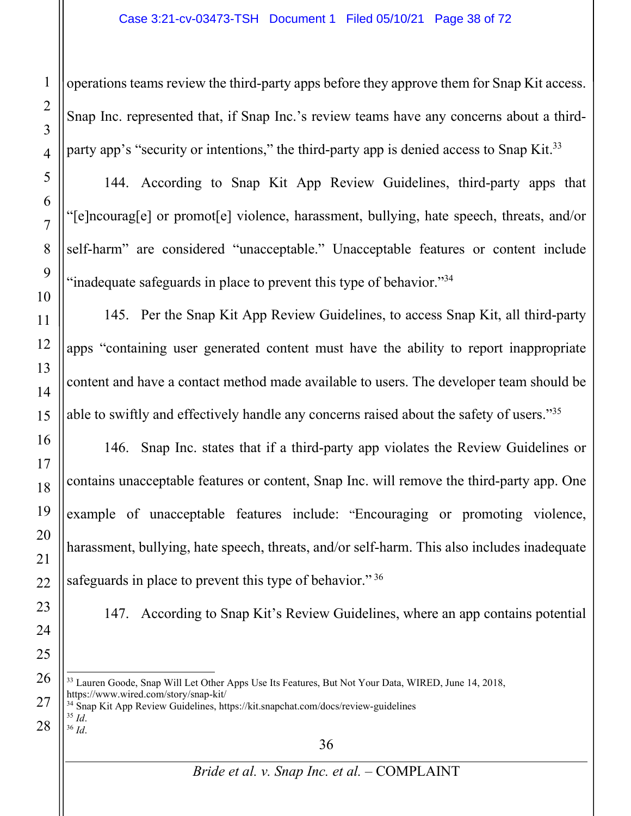operations teams review the third-party apps before they approve them for Snap Kit access. Snap Inc. represented that, if Snap Inc.'s review teams have any concerns about a thirdparty app's "security or intentions," the third-party app is denied access to Snap Kit.<sup>33</sup>

144. According to Snap Kit App Review Guidelines, third-party apps that "[e]ncourag[e] or promot[e] violence, harassment, bullying, hate speech, threats, and/or self-harm" are considered "unacceptable." Unacceptable features or content include "inadequate safeguards in place to prevent this type of behavior."<sup>34</sup>

145. Per the Snap Kit App Review Guidelines, to access Snap Kit, all third-party apps "containing user generated content must have the ability to report inappropriate content and have a contact method made available to users. The developer team should be able to swiftly and effectively handle any concerns raised about the safety of users."35

146. Snap Inc. states that if a third-party app violates the Review Guidelines or contains unacceptable features or content, Snap Inc. will remove the third-party app. One example of unacceptable features include: "Encouraging or promoting violence, harassment, bullying, hate speech, threats, and/or self-harm. This also includes inadequate safeguards in place to prevent this type of behavior."<sup>36</sup>

147. According to Snap Kit's Review Guidelines, where an app contains potential

<sup>33</sup> Lauren Goode, Snap Will Let Other Apps Use Its Features, But Not Your Data, WIRED, June 14, 2018, https://www.wired.com/story/snap-kit/

 $^{34}$  Snap Kit App Review Guidelines, https://kit.snapchat.com/docs/review-guidelines $^{35}$   $\emph{Id}$ 

<sup>35</sup> *Id*. 36 *Id*.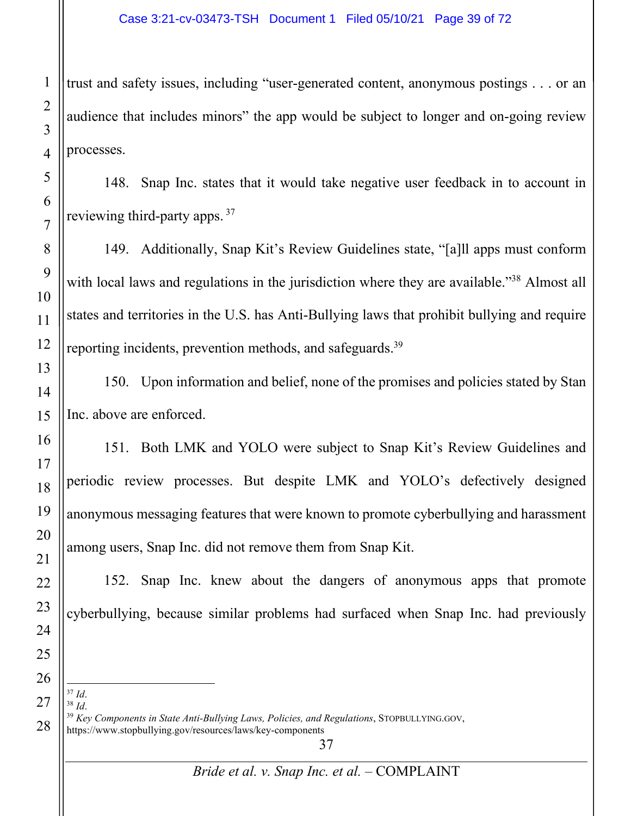trust and safety issues, including "user-generated content, anonymous postings . . . or an audience that includes minors" the app would be subject to longer and on-going review processes.

148. Snap Inc. states that it would take negative user feedback in to account in reviewing third-party apps.<sup>37</sup>

149. Additionally, Snap Kit's Review Guidelines state, "[a]ll apps must conform with local laws and regulations in the jurisdiction where they are available."<sup>38</sup> Almost all states and territories in the U.S. has Anti-Bullying laws that prohibit bullying and require reporting incidents, prevention methods, and safeguards.<sup>39</sup>

150. Upon information and belief, none of the promises and policies stated by Stan Inc. above are enforced.

151. Both LMK and YOLO were subject to Snap Kit's Review Guidelines and periodic review processes. But despite LMK and YOLO's defectively designed anonymous messaging features that were known to promote cyberbullying and harassment among users, Snap Inc. did not remove them from Snap Kit.

152. Snap Inc. knew about the dangers of anonymous apps that promote cyberbullying, because similar problems had surfaced when Snap Inc. had previously

<sup>37</sup> *Id.*<br><sup>38</sup> *Id.*<br><sup>39</sup> *Key Components in State Anti-Bullying Laws, Policies, and Regulations, STOPBULLYING.GOV,* https://www.stopbullying.gov/resources/laws/key-components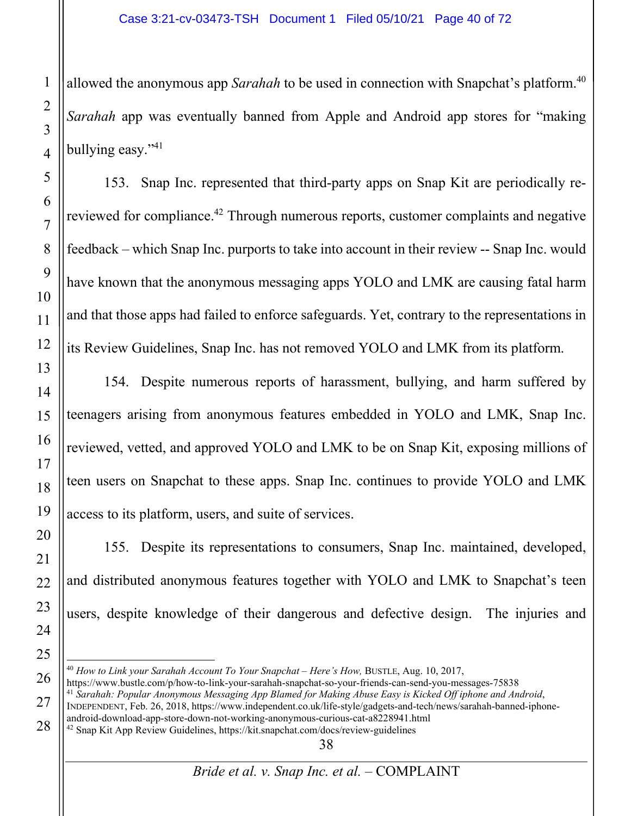allowed the anonymous app *Sarahah* to be used in connection with Snapchat's platform. 40 *Sarahah* app was eventually banned from Apple and Android app stores for "making bullying easy."41

153. Snap Inc. represented that third-party apps on Snap Kit are periodically rereviewed for compliance.<sup>42</sup> Through numerous reports, customer complaints and negative feedback – which Snap Inc. purports to take into account in their review -- Snap Inc. would have known that the anonymous messaging apps YOLO and LMK are causing fatal harm and that those apps had failed to enforce safeguards. Yet, contrary to the representations in its Review Guidelines, Snap Inc. has not removed YOLO and LMK from its platform.

154. Despite numerous reports of harassment, bullying, and harm suffered by teenagers arising from anonymous features embedded in YOLO and LMK, Snap Inc. reviewed, vetted, and approved YOLO and LMK to be on Snap Kit, exposing millions of teen users on Snapchat to these apps. Snap Inc. continues to provide YOLO and LMK access to its platform, users, and suite of services.

155. Despite its representations to consumers, Snap Inc. maintained, developed, and distributed anonymous features together with YOLO and LMK to Snapchat's teen users, despite knowledge of their dangerous and defective design. The injuries and

<sup>40</sup> *How to Link your Sarahah Account To Your Snapchat – Here's How,* BUSTLE, Aug. 10, 2017, https://www.bustle.com/p/how-to-link-your-sarahah-snapchat-so-your-friends-can-send-you-messages-75838 <sup>41</sup> *Sarahah: Popular Anonymous Messaging App Blamed for Making Abuse Easy is Kicked Off iphone and Android*, INDEPENDENT, Feb. 26, 2018, https://www.independent.co.uk/life-style/gadgets-and-tech/news/sarahah-banned-iphone-

android-download-app-store-down-not-working-anonymous-curious-cat-a8228941.html <sup>42</sup> Snap Kit App Review Guidelines, https://kit.snapchat.com/docs/review-guidelines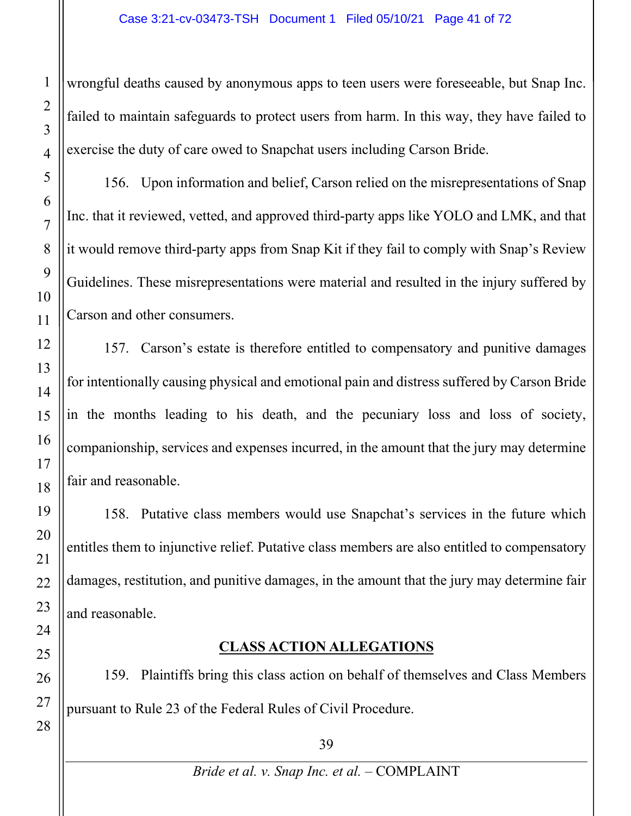wrongful deaths caused by anonymous apps to teen users were foreseeable, but Snap Inc. failed to maintain safeguards to protect users from harm. In this way, they have failed to exercise the duty of care owed to Snapchat users including Carson Bride.

156. Upon information and belief, Carson relied on the misrepresentations of Snap Inc. that it reviewed, vetted, and approved third-party apps like YOLO and LMK, and that it would remove third-party apps from Snap Kit if they fail to comply with Snap's Review Guidelines. These misrepresentations were material and resulted in the injury suffered by Carson and other consumers.

157. Carson's estate is therefore entitled to compensatory and punitive damages for intentionally causing physical and emotional pain and distress suffered by Carson Bride in the months leading to his death, and the pecuniary loss and loss of society, companionship, services and expenses incurred, in the amount that the jury may determine fair and reasonable.

158. Putative class members would use Snapchat's services in the future which entitles them to injunctive relief. Putative class members are also entitled to compensatory damages, restitution, and punitive damages, in the amount that the jury may determine fair and reasonable.

## **CLASS ACTION ALLEGATIONS**

159. Plaintiffs bring this class action on behalf of themselves and Class Members pursuant to Rule 23 of the Federal Rules of Civil Procedure.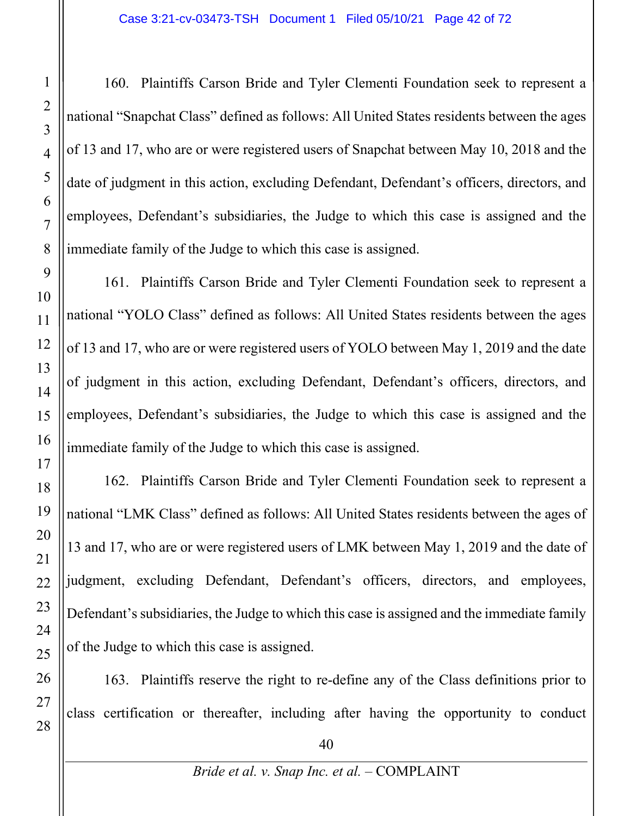160. Plaintiffs Carson Bride and Tyler Clementi Foundation seek to represent a national "Snapchat Class" defined as follows: All United States residents between the ages of 13 and 17, who are or were registered users of Snapchat between May 10, 2018 and the date of judgment in this action, excluding Defendant, Defendant's officers, directors, and employees, Defendant's subsidiaries, the Judge to which this case is assigned and the immediate family of the Judge to which this case is assigned.

161. Plaintiffs Carson Bride and Tyler Clementi Foundation seek to represent a national "YOLO Class" defined as follows: All United States residents between the ages of 13 and 17, who are or were registered users of YOLO between May 1, 2019 and the date of judgment in this action, excluding Defendant, Defendant's officers, directors, and employees, Defendant's subsidiaries, the Judge to which this case is assigned and the immediate family of the Judge to which this case is assigned.

162. Plaintiffs Carson Bride and Tyler Clementi Foundation seek to represent a national "LMK Class" defined as follows: All United States residents between the ages of 13 and 17, who are or were registered users of LMK between May 1, 2019 and the date of judgment, excluding Defendant, Defendant's officers, directors, and employees, Defendant's subsidiaries, the Judge to which this case is assigned and the immediate family of the Judge to which this case is assigned.

163. Plaintiffs reserve the right to re-define any of the Class definitions prior to class certification or thereafter, including after having the opportunity to conduct

40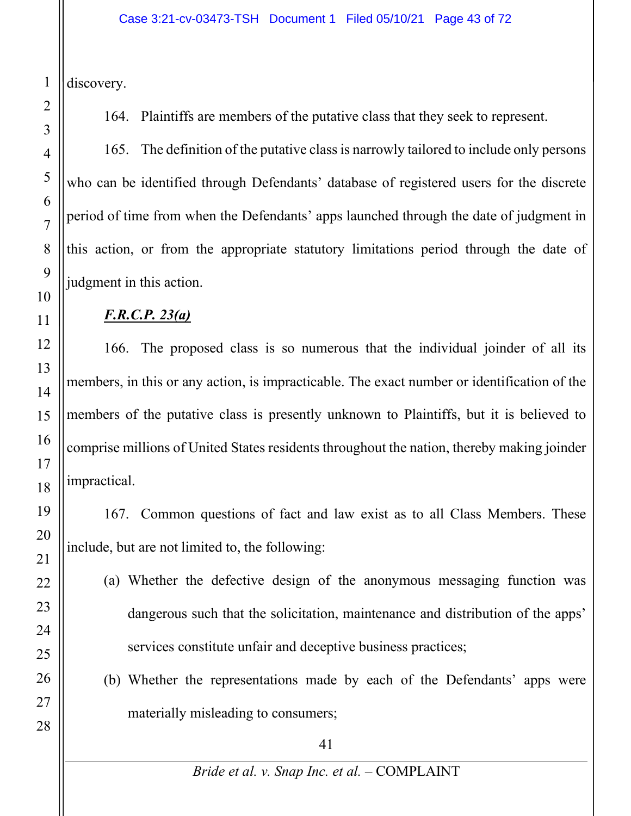discovery.

164. Plaintiffs are members of the putative class that they seek to represent.

165. The definition of the putative class is narrowly tailored to include only persons who can be identified through Defendants' database of registered users for the discrete period of time from when the Defendants' apps launched through the date of judgment in this action, or from the appropriate statutory limitations period through the date of judgment in this action.

# *F.R.C.P. 23(a)*

166. The proposed class is so numerous that the individual joinder of all its members, in this or any action, is impracticable. The exact number or identification of the members of the putative class is presently unknown to Plaintiffs, but it is believed to comprise millions of United States residents throughout the nation, thereby making joinder impractical.

167. Common questions of fact and law exist as to all Class Members. These include, but are not limited to, the following:

- (a) Whether the defective design of the anonymous messaging function was dangerous such that the solicitation, maintenance and distribution of the apps' services constitute unfair and deceptive business practices;
- (b) Whether the representations made by each of the Defendants' apps were materially misleading to consumers;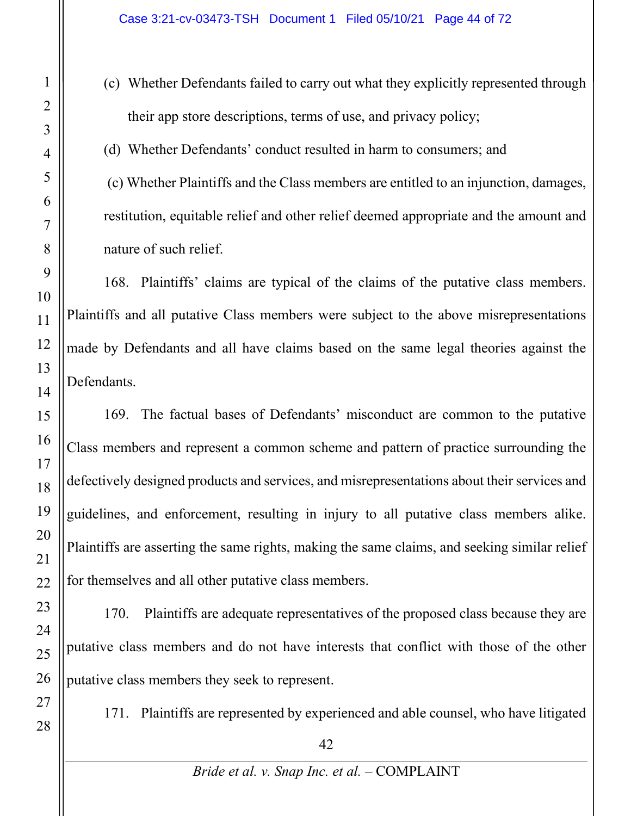(c) Whether Defendants failed to carry out what they explicitly represented through their app store descriptions, terms of use, and privacy policy;

(d) Whether Defendants' conduct resulted in harm to consumers; and

(c) Whether Plaintiffs and the Class members are entitled to an injunction, damages, restitution, equitable relief and other relief deemed appropriate and the amount and nature of such relief.

168. Plaintiffs' claims are typical of the claims of the putative class members. Plaintiffs and all putative Class members were subject to the above misrepresentations made by Defendants and all have claims based on the same legal theories against the Defendants.

169. The factual bases of Defendants' misconduct are common to the putative Class members and represent a common scheme and pattern of practice surrounding the defectively designed products and services, and misrepresentations about their services and guidelines, and enforcement, resulting in injury to all putative class members alike. Plaintiffs are asserting the same rights, making the same claims, and seeking similar relief for themselves and all other putative class members.

170. Plaintiffs are adequate representatives of the proposed class because they are putative class members and do not have interests that conflict with those of the other putative class members they seek to represent.

171. Plaintiffs are represented by experienced and able counsel, who have litigated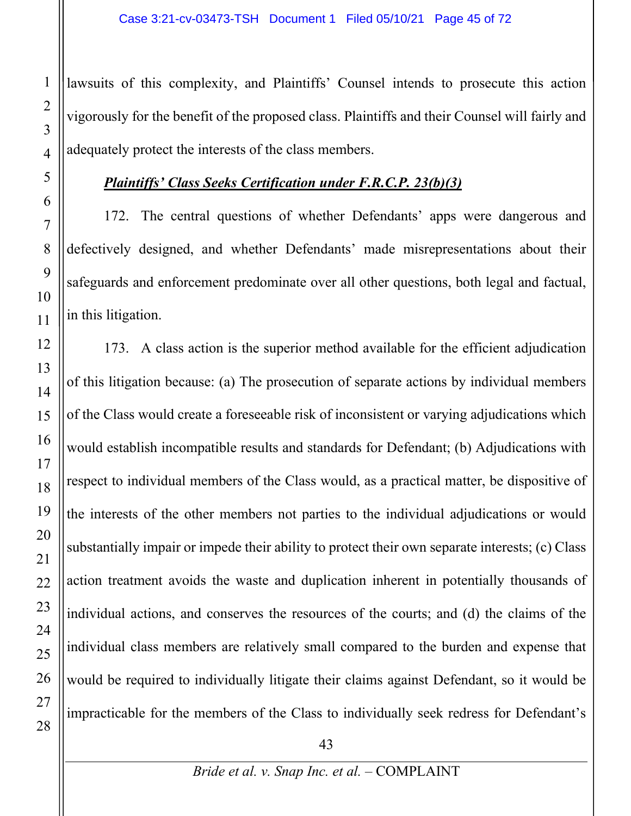lawsuits of this complexity, and Plaintiffs' Counsel intends to prosecute this action vigorously for the benefit of the proposed class. Plaintiffs and their Counsel will fairly and adequately protect the interests of the class members.

#### *Plaintiffs' Class Seeks Certification under F.R.C.P. 23(b)(3)*

172. The central questions of whether Defendants' apps were dangerous and defectively designed, and whether Defendants' made misrepresentations about their safeguards and enforcement predominate over all other questions, both legal and factual, in this litigation.

173. A class action is the superior method available for the efficient adjudication of this litigation because: (a) The prosecution of separate actions by individual members of the Class would create a foreseeable risk of inconsistent or varying adjudications which would establish incompatible results and standards for Defendant; (b) Adjudications with respect to individual members of the Class would, as a practical matter, be dispositive of the interests of the other members not parties to the individual adjudications or would substantially impair or impede their ability to protect their own separate interests; (c) Class action treatment avoids the waste and duplication inherent in potentially thousands of individual actions, and conserves the resources of the courts; and (d) the claims of the individual class members are relatively small compared to the burden and expense that would be required to individually litigate their claims against Defendant, so it would be impracticable for the members of the Class to individually seek redress for Defendant's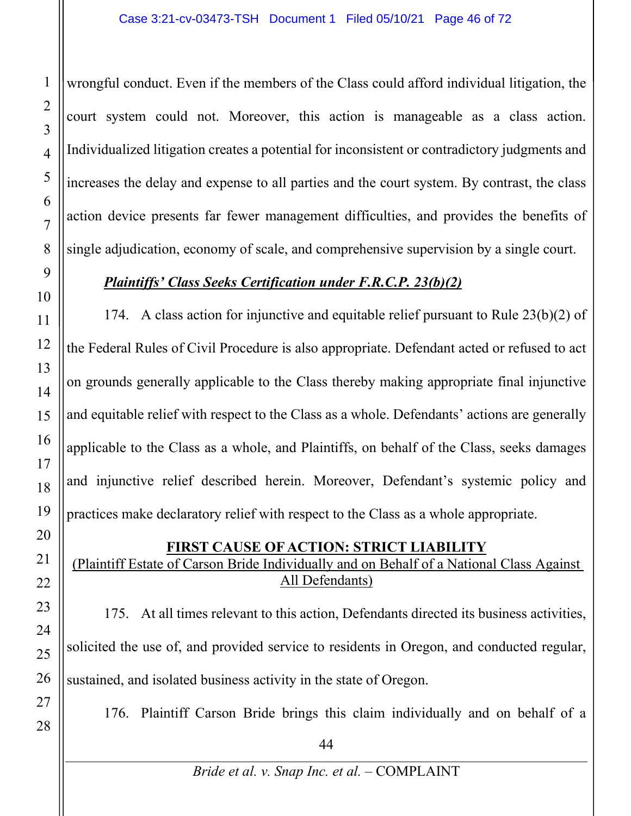wrongful conduct. Even if the members of the Class could afford individual litigation, the court system could not. Moreover, this action is manageable as a class action. Individualized litigation creates a potential for inconsistent or contradictory judgments and increases the delay and expense to all parties and the court system. By contrast, the class action device presents far fewer management difficulties, and provides the benefits of single adjudication, economy of scale, and comprehensive supervision by a single court.

## *Plaintiffs' Class Seeks Certification under F.R.C.P. 23(b)(2)*

174. A class action for injunctive and equitable relief pursuant to Rule 23(b)(2) of the Federal Rules of Civil Procedure is also appropriate. Defendant acted or refused to act on grounds generally applicable to the Class thereby making appropriate final injunctive and equitable relief with respect to the Class as a whole. Defendants' actions are generally applicable to the Class as a whole, and Plaintiffs, on behalf of the Class, seeks damages and injunctive relief described herein. Moreover, Defendant's systemic policy and practices make declaratory relief with respect to the Class as a whole appropriate.

## **FIRST CAUSE OF ACTION: STRICT LIABILITY**

(Plaintiff Estate of Carson Bride Individually and on Behalf of a National Class Against All Defendants)

175. At all times relevant to this action, Defendants directed its business activities, solicited the use of, and provided service to residents in Oregon, and conducted regular, sustained, and isolated business activity in the state of Oregon.

176. Plaintiff Carson Bride brings this claim individually and on behalf of a

1

2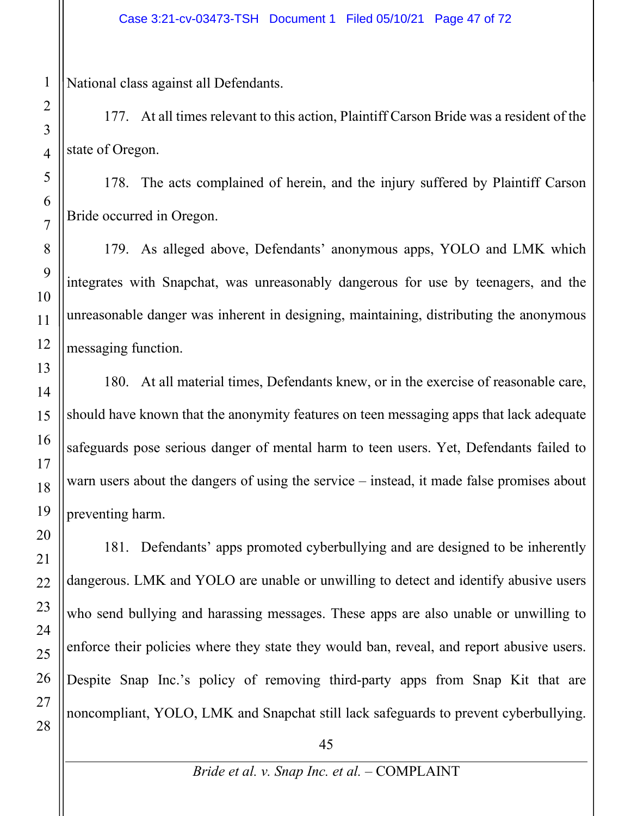National class against all Defendants.

177. At all times relevant to this action, Plaintiff Carson Bride was a resident of the state of Oregon.

178. The acts complained of herein, and the injury suffered by Plaintiff Carson Bride occurred in Oregon.

179. As alleged above, Defendants' anonymous apps, YOLO and LMK which integrates with Snapchat, was unreasonably dangerous for use by teenagers, and the unreasonable danger was inherent in designing, maintaining, distributing the anonymous messaging function.

180. At all material times, Defendants knew, or in the exercise of reasonable care, should have known that the anonymity features on teen messaging apps that lack adequate safeguards pose serious danger of mental harm to teen users. Yet, Defendants failed to warn users about the dangers of using the service – instead, it made false promises about preventing harm.

181. Defendants' apps promoted cyberbullying and are designed to be inherently dangerous. LMK and YOLO are unable or unwilling to detect and identify abusive users who send bullying and harassing messages. These apps are also unable or unwilling to enforce their policies where they state they would ban, reveal, and report abusive users. Despite Snap Inc.'s policy of removing third-party apps from Snap Kit that are noncompliant, YOLO, LMK and Snapchat still lack safeguards to prevent cyberbullying.

45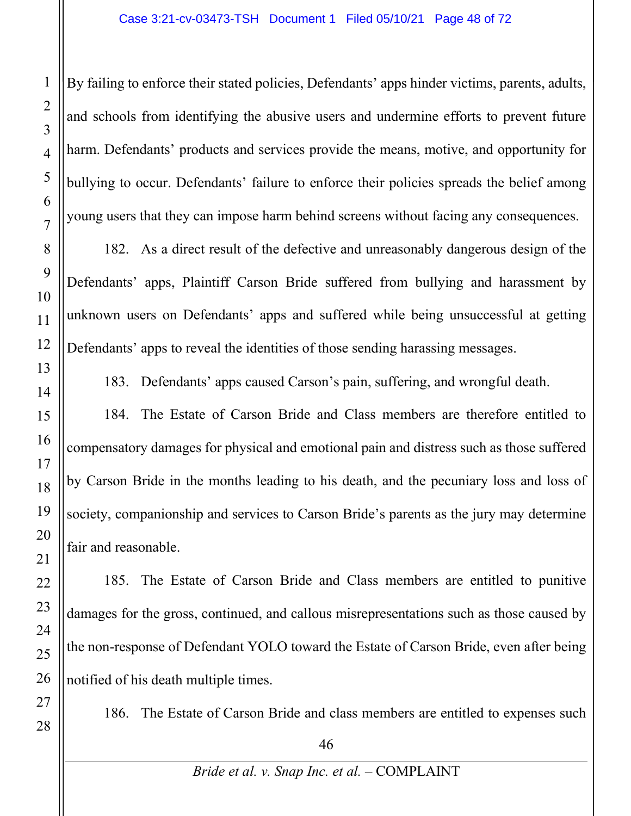By failing to enforce their stated policies, Defendants' apps hinder victims, parents, adults, and schools from identifying the abusive users and undermine efforts to prevent future harm. Defendants' products and services provide the means, motive, and opportunity for bullying to occur. Defendants' failure to enforce their policies spreads the belief among young users that they can impose harm behind screens without facing any consequences.

182. As a direct result of the defective and unreasonably dangerous design of the Defendants' apps, Plaintiff Carson Bride suffered from bullying and harassment by unknown users on Defendants' apps and suffered while being unsuccessful at getting Defendants' apps to reveal the identities of those sending harassing messages.

183. Defendants' apps caused Carson's pain, suffering, and wrongful death.

184. The Estate of Carson Bride and Class members are therefore entitled to compensatory damages for physical and emotional pain and distress such as those suffered by Carson Bride in the months leading to his death, and the pecuniary loss and loss of society, companionship and services to Carson Bride's parents as the jury may determine fair and reasonable.

185. The Estate of Carson Bride and Class members are entitled to punitive damages for the gross, continued, and callous misrepresentations such as those caused by the non-response of Defendant YOLO toward the Estate of Carson Bride, even after being notified of his death multiple times.

186. The Estate of Carson Bride and class members are entitled to expenses such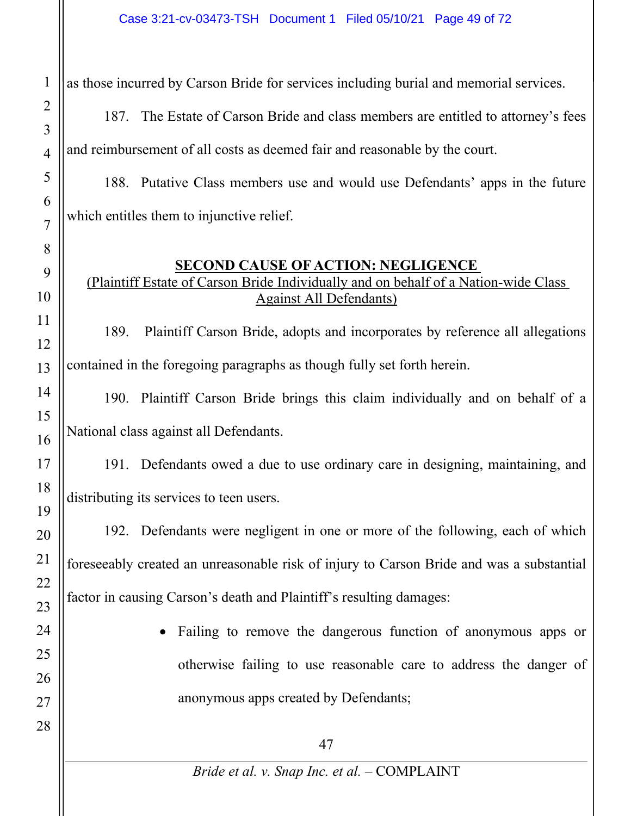as those incurred by Carson Bride for services including burial and memorial services.

187. The Estate of Carson Bride and class members are entitled to attorney's fees and reimbursement of all costs as deemed fair and reasonable by the court.

188. Putative Class members use and would use Defendants' apps in the future which entitles them to injunctive relief.

## **SECOND CAUSE OF ACTION: NEGLIGENCE**

# (Plaintiff Estate of Carson Bride Individually and on behalf of a Nation-wide Class Against All Defendants)

189. Plaintiff Carson Bride, adopts and incorporates by reference all allegations contained in the foregoing paragraphs as though fully set forth herein.

190. Plaintiff Carson Bride brings this claim individually and on behalf of a National class against all Defendants.

191. Defendants owed a due to use ordinary care in designing, maintaining, and distributing its services to teen users.

192. Defendants were negligent in one or more of the following, each of which foreseeably created an unreasonable risk of injury to Carson Bride and was a substantial factor in causing Carson's death and Plaintiff's resulting damages:

> Failing to remove the dangerous function of anonymous apps or otherwise failing to use reasonable care to address the danger of anonymous apps created by Defendants;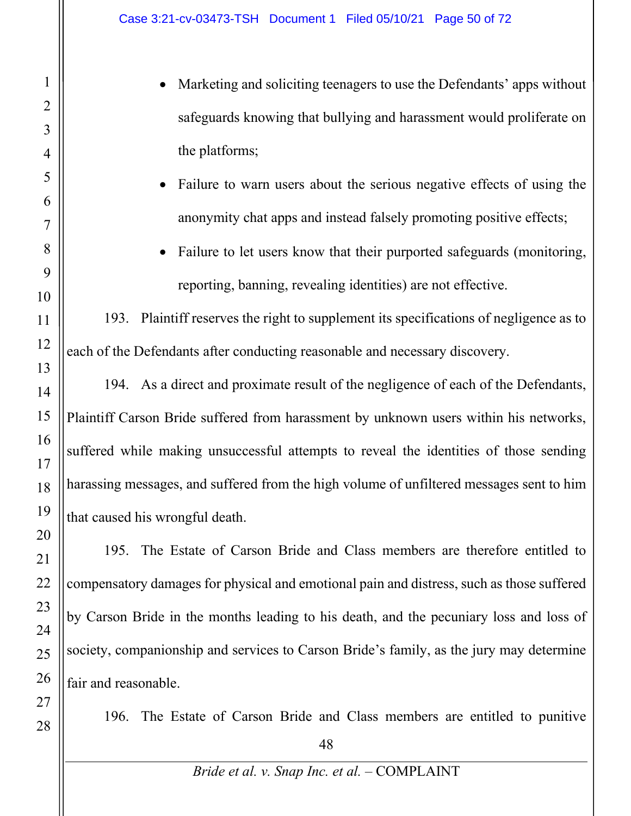- Marketing and soliciting teenagers to use the Defendants' apps without safeguards knowing that bullying and harassment would proliferate on the platforms;
- Failure to warn users about the serious negative effects of using the anonymity chat apps and instead falsely promoting positive effects;
- Failure to let users know that their purported safeguards (monitoring, reporting, banning, revealing identities) are not effective.

193. Plaintiff reserves the right to supplement its specifications of negligence as to each of the Defendants after conducting reasonable and necessary discovery.

194. As a direct and proximate result of the negligence of each of the Defendants, Plaintiff Carson Bride suffered from harassment by unknown users within his networks, suffered while making unsuccessful attempts to reveal the identities of those sending harassing messages, and suffered from the high volume of unfiltered messages sent to him that caused his wrongful death.

195. The Estate of Carson Bride and Class members are therefore entitled to compensatory damages for physical and emotional pain and distress, such as those suffered by Carson Bride in the months leading to his death, and the pecuniary loss and loss of society, companionship and services to Carson Bride's family, as the jury may determine fair and reasonable.

196. The Estate of Carson Bride and Class members are entitled to punitive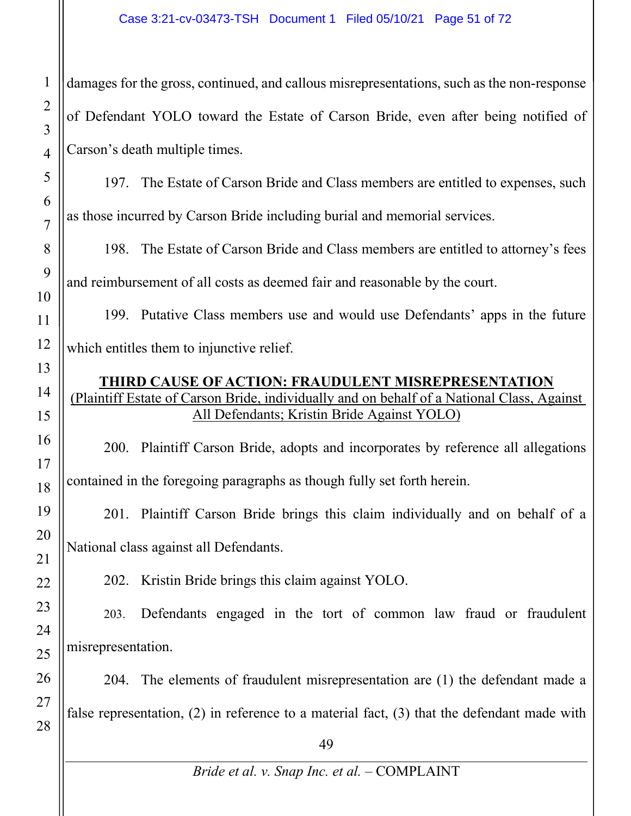damages for the gross, continued, and callous misrepresentations, such as the non-response of Defendant YOLO toward the Estate of Carson Bride, even after being notified of Carson's death multiple times.

197. The Estate of Carson Bride and Class members are entitled to expenses, such as those incurred by Carson Bride including burial and memorial services.

198. The Estate of Carson Bride and Class members are entitled to attorney's fees and reimbursement of all costs as deemed fair and reasonable by the court.

199. Putative Class members use and would use Defendants' apps in the future which entitles them to injunctive relief.

### **THIRD CAUSE OF ACTION: FRAUDULENT MISREPRESENTATION** (Plaintiff Estate of Carson Bride, individually and on behalf of a National Class, Against All Defendants; Kristin Bride Against YOLO)

200. Plaintiff Carson Bride, adopts and incorporates by reference all allegations contained in the foregoing paragraphs as though fully set forth herein.

201. Plaintiff Carson Bride brings this claim individually and on behalf of a National class against all Defendants.

202. Kristin Bride brings this claim against YOLO.

203. Defendants engaged in the tort of common law fraud or fraudulent misrepresentation.

204. The elements of fraudulent misrepresentation are (1) the defendant made a false representation, (2) in reference to a material fact, (3) that the defendant made with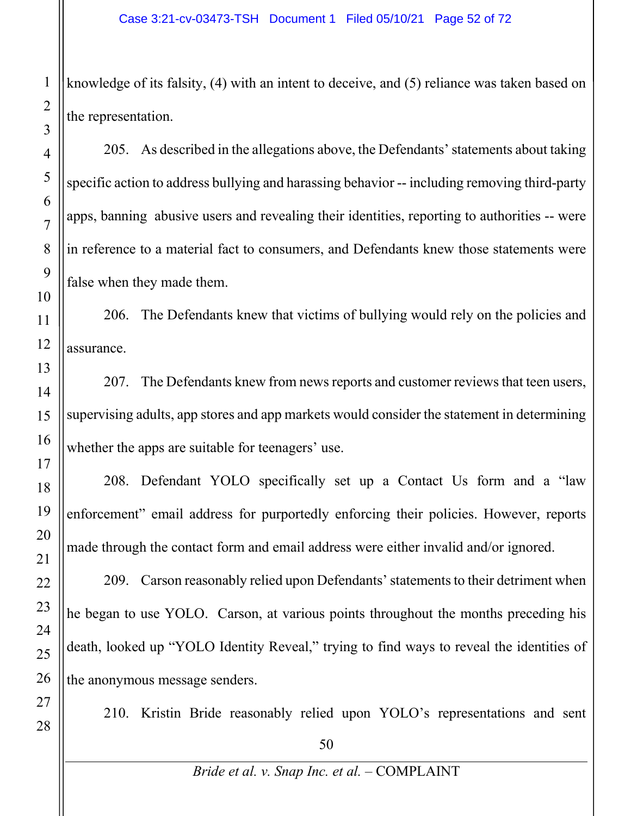knowledge of its falsity, (4) with an intent to deceive, and (5) reliance was taken based on the representation.

205. As described in the allegations above, the Defendants' statements about taking specific action to address bullying and harassing behavior -- including removing third-party apps, banning abusive users and revealing their identities, reporting to authorities -- were in reference to a material fact to consumers, and Defendants knew those statements were false when they made them.

206. The Defendants knew that victims of bullying would rely on the policies and assurance.

207. The Defendants knew from news reports and customer reviews that teen users, supervising adults, app stores and app markets would consider the statement in determining whether the apps are suitable for teenagers' use.

208. Defendant YOLO specifically set up a Contact Us form and a "law enforcement" email address for purportedly enforcing their policies. However, reports made through the contact form and email address were either invalid and/or ignored.

209. Carson reasonably relied upon Defendants' statements to their detriment when he began to use YOLO. Carson, at various points throughout the months preceding his death, looked up "YOLO Identity Reveal," trying to find ways to reveal the identities of the anonymous message senders.

210. Kristin Bride reasonably relied upon YOLO's representations and sent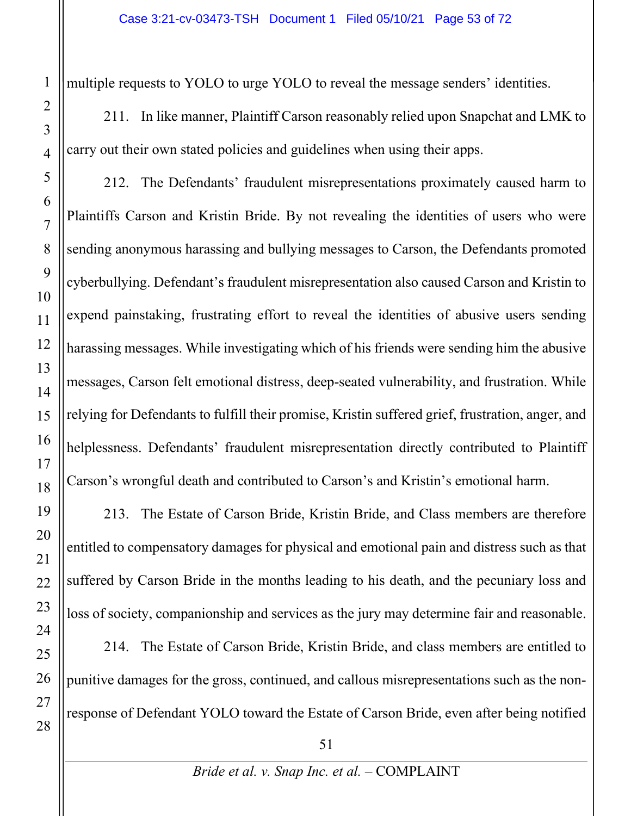multiple requests to YOLO to urge YOLO to reveal the message senders' identities.

211. In like manner, Plaintiff Carson reasonably relied upon Snapchat and LMK to carry out their own stated policies and guidelines when using their apps.

212. The Defendants' fraudulent misrepresentations proximately caused harm to Plaintiffs Carson and Kristin Bride. By not revealing the identities of users who were sending anonymous harassing and bullying messages to Carson, the Defendants promoted cyberbullying. Defendant's fraudulent misrepresentation also caused Carson and Kristin to expend painstaking, frustrating effort to reveal the identities of abusive users sending harassing messages. While investigating which of his friends were sending him the abusive messages, Carson felt emotional distress, deep-seated vulnerability, and frustration. While relying for Defendants to fulfill their promise, Kristin suffered grief, frustration, anger, and helplessness. Defendants' fraudulent misrepresentation directly contributed to Plaintiff Carson's wrongful death and contributed to Carson's and Kristin's emotional harm.

213. The Estate of Carson Bride, Kristin Bride, and Class members are therefore entitled to compensatory damages for physical and emotional pain and distress such as that suffered by Carson Bride in the months leading to his death, and the pecuniary loss and loss of society, companionship and services as the jury may determine fair and reasonable.

214. The Estate of Carson Bride, Kristin Bride, and class members are entitled to punitive damages for the gross, continued, and callous misrepresentations such as the nonresponse of Defendant YOLO toward the Estate of Carson Bride, even after being notified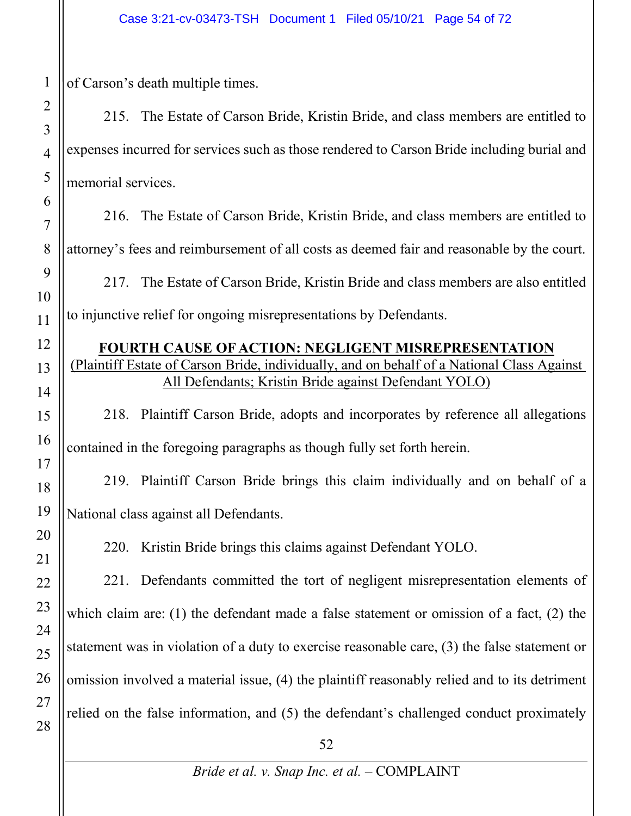of Carson's death multiple times.

215. The Estate of Carson Bride, Kristin Bride, and class members are entitled to expenses incurred for services such as those rendered to Carson Bride including burial and memorial services.

216. The Estate of Carson Bride, Kristin Bride, and class members are entitled to attorney's fees and reimbursement of all costs as deemed fair and reasonable by the court.

217. The Estate of Carson Bride, Kristin Bride and class members are also entitled to injunctive relief for ongoing misrepresentations by Defendants.

#### **FOURTH CAUSE OF ACTION: NEGLIGENT MISREPRESENTATION** (Plaintiff Estate of Carson Bride, individually, and on behalf of a National Class Against All Defendants; Kristin Bride against Defendant YOLO)

218. Plaintiff Carson Bride, adopts and incorporates by reference all allegations contained in the foregoing paragraphs as though fully set forth herein.

219. Plaintiff Carson Bride brings this claim individually and on behalf of a National class against all Defendants.

220. Kristin Bride brings this claims against Defendant YOLO.

221. Defendants committed the tort of negligent misrepresentation elements of which claim are: (1) the defendant made a false statement or omission of a fact, (2) the statement was in violation of a duty to exercise reasonable care, (3) the false statement or omission involved a material issue, (4) the plaintiff reasonably relied and to its detriment relied on the false information, and (5) the defendant's challenged conduct proximately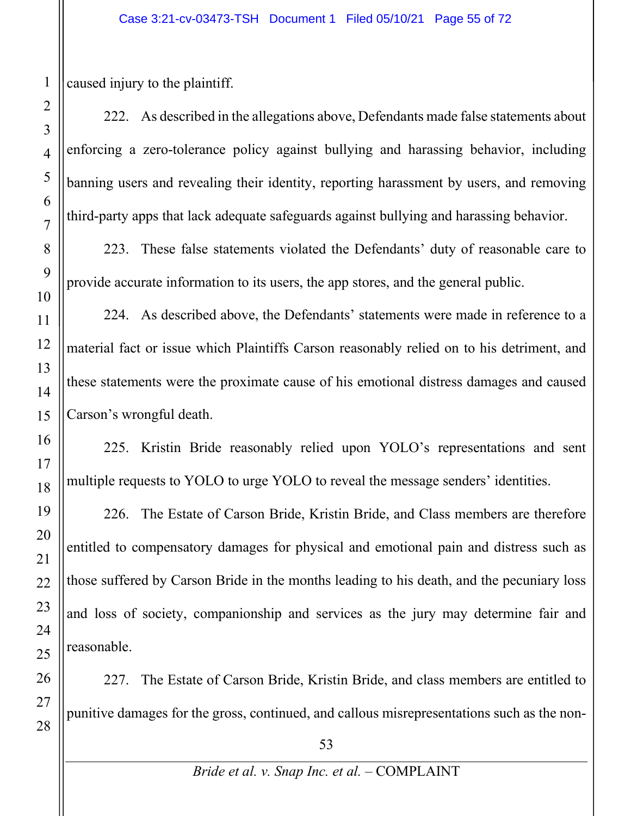caused injury to the plaintiff.

222. As described in the allegations above, Defendants made false statements about enforcing a zero-tolerance policy against bullying and harassing behavior, including banning users and revealing their identity, reporting harassment by users, and removing third-party apps that lack adequate safeguards against bullying and harassing behavior.

223. These false statements violated the Defendants' duty of reasonable care to provide accurate information to its users, the app stores, and the general public.

224. As described above, the Defendants' statements were made in reference to a material fact or issue which Plaintiffs Carson reasonably relied on to his detriment, and these statements were the proximate cause of his emotional distress damages and caused Carson's wrongful death.

225. Kristin Bride reasonably relied upon YOLO's representations and sent multiple requests to YOLO to urge YOLO to reveal the message senders' identities.

226. The Estate of Carson Bride, Kristin Bride, and Class members are therefore entitled to compensatory damages for physical and emotional pain and distress such as those suffered by Carson Bride in the months leading to his death, and the pecuniary loss and loss of society, companionship and services as the jury may determine fair and reasonable.

227. The Estate of Carson Bride, Kristin Bride, and class members are entitled to punitive damages for the gross, continued, and callous misrepresentations such as the non-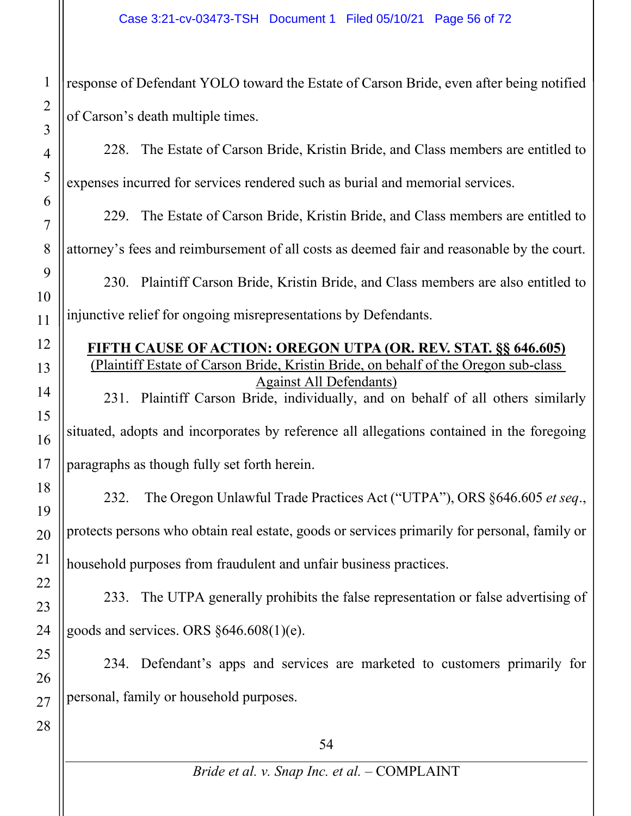response of Defendant YOLO toward the Estate of Carson Bride, even after being notified of Carson's death multiple times.

228. The Estate of Carson Bride, Kristin Bride, and Class members are entitled to expenses incurred for services rendered such as burial and memorial services.

229. The Estate of Carson Bride, Kristin Bride, and Class members are entitled to

attorney's fees and reimbursement of all costs as deemed fair and reasonable by the court.

230. Plaintiff Carson Bride, Kristin Bride, and Class members are also entitled to injunctive relief for ongoing misrepresentations by Defendants.

#### **FIFTH CAUSE OF ACTION: OREGON UTPA (OR. REV. STAT. §§ 646.605)** (Plaintiff Estate of Carson Bride, Kristin Bride, on behalf of the Oregon sub-class Against All Defendants)

231. Plaintiff Carson Bride, individually, and on behalf of all others similarly situated, adopts and incorporates by reference all allegations contained in the foregoing paragraphs as though fully set forth herein.

232. The Oregon Unlawful Trade Practices Act ("UTPA"), ORS §646.605 *et seq*., protects persons who obtain real estate, goods or services primarily for personal, family or household purposes from fraudulent and unfair business practices.

233. The UTPA generally prohibits the false representation or false advertising of goods and services. ORS §646.608(1)(e).

234. Defendant's apps and services are marketed to customers primarily for personal, family or household purposes.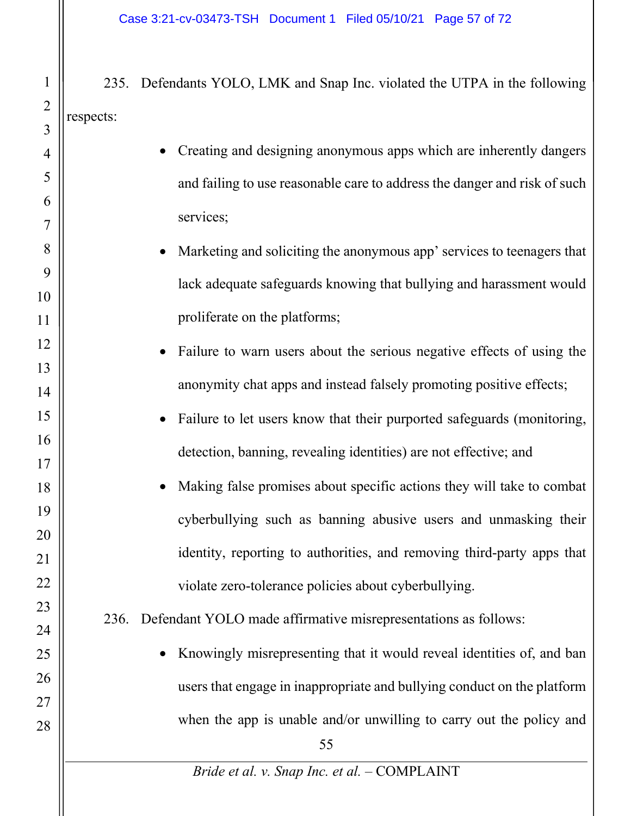235. Defendants YOLO, LMK and Snap Inc. violated the UTPA in the following respects:

| 4              | Creating and designing anonymous apps which are inherently dangers        |
|----------------|---------------------------------------------------------------------------|
| 5              | and failing to use reasonable care to address the danger and risk of such |
| 6              |                                                                           |
| $\overline{7}$ | services;                                                                 |
| 8              | Marketing and soliciting the anonymous app' services to teenagers that    |
| 9              | lack adequate safeguards knowing that bullying and harassment would       |
| 10             |                                                                           |
| 11             | proliferate on the platforms;                                             |
| 12             | Failure to warn users about the serious negative effects of using the     |
| 13             |                                                                           |
| 14             | anonymity chat apps and instead falsely promoting positive effects;       |
| 15             | Failure to let users know that their purported safeguards (monitoring,    |
| 16             | detection, banning, revealing identities) are not effective; and          |
| 17             |                                                                           |
| 18             | Making false promises about specific actions they will take to combat     |
| 19             | cyberbullying such as banning abusive users and unmasking their           |
| 20             |                                                                           |
| 21             | identity, reporting to authorities, and removing third-party apps that    |
| 22             | violate zero-tolerance policies about cyberbullying.                      |
| 23             | 236. Defendant YOLO made affirmative misrepresentations as follows:       |
| 24             |                                                                           |
| 25             | Knowingly misrepresenting that it would reveal identities of, and ban     |
| 26             | users that engage in inappropriate and bullying conduct on the platform   |
| 27             |                                                                           |
| 28             | when the app is unable and/or unwilling to carry out the policy and       |
|                | 55                                                                        |

*Bride et al. v. Snap Inc. et al.* – COMPLAINT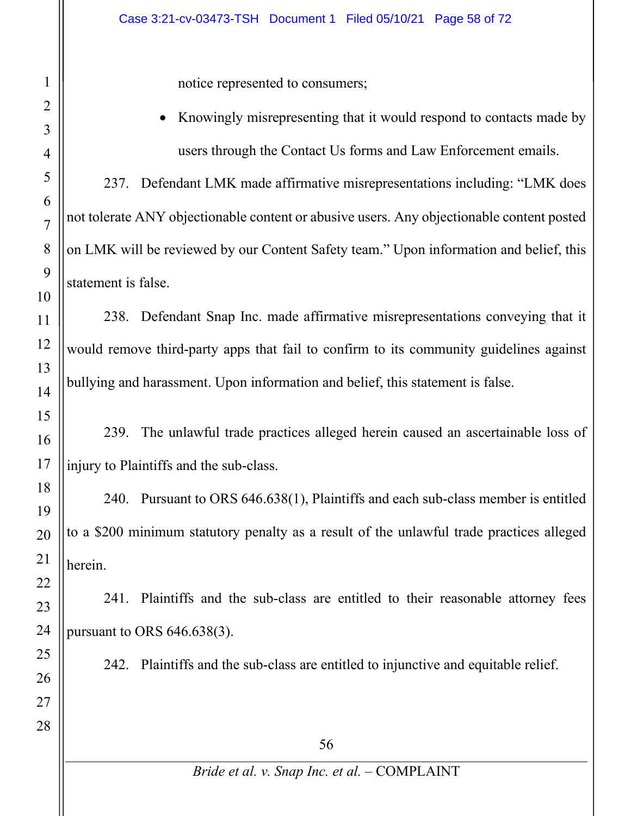notice represented to consumers;

 Knowingly misrepresenting that it would respond to contacts made by users through the Contact Us forms and Law Enforcement emails.

237. Defendant LMK made affirmative misrepresentations including: "LMK does not tolerate ANY objectionable content or abusive users. Any objectionable content posted on LMK will be reviewed by our Content Safety team." Upon information and belief, this statement is false.

238. Defendant Snap Inc. made affirmative misrepresentations conveying that it would remove third-party apps that fail to confirm to its community guidelines against bullying and harassment. Upon information and belief, this statement is false.

239. The unlawful trade practices alleged herein caused an ascertainable loss of injury to Plaintiffs and the sub-class.

240. Pursuant to ORS 646.638(1), Plaintiffs and each sub-class member is entitled to a \$200 minimum statutory penalty as a result of the unlawful trade practices alleged herein.

241. Plaintiffs and the sub-class are entitled to their reasonable attorney fees pursuant to ORS 646.638(3).

242. Plaintiffs and the sub-class are entitled to injunctive and equitable relief.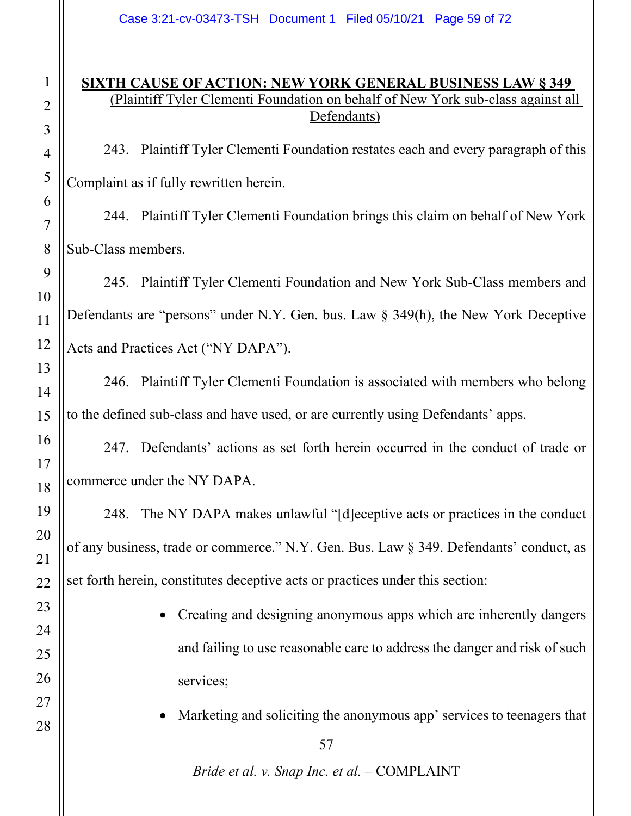### **SIXTH CAUSE OF ACTION: NEW YORK GENERAL BUSINESS LAW § 349**  (Plaintiff Tyler Clementi Foundation on behalf of New York sub-class against all Defendants)

243. Plaintiff Tyler Clementi Foundation restates each and every paragraph of this Complaint as if fully rewritten herein.

244. Plaintiff Tyler Clementi Foundation brings this claim on behalf of New York Sub-Class members.

245. Plaintiff Tyler Clementi Foundation and New York Sub-Class members and Defendants are "persons" under N.Y. Gen. bus. Law § 349(h), the New York Deceptive Acts and Practices Act ("NY DAPA").

246. Plaintiff Tyler Clementi Foundation is associated with members who belong to the defined sub-class and have used, or are currently using Defendants' apps.

247. Defendants' actions as set forth herein occurred in the conduct of trade or commerce under the NY DAPA.

248. The NY DAPA makes unlawful "[d]eceptive acts or practices in the conduct of any business, trade or commerce." N.Y. Gen. Bus. Law § 349. Defendants' conduct, as set forth herein, constitutes deceptive acts or practices under this section:

- Creating and designing anonymous apps which are inherently dangers and failing to use reasonable care to address the danger and risk of such services;
- Marketing and soliciting the anonymous app' services to teenagers that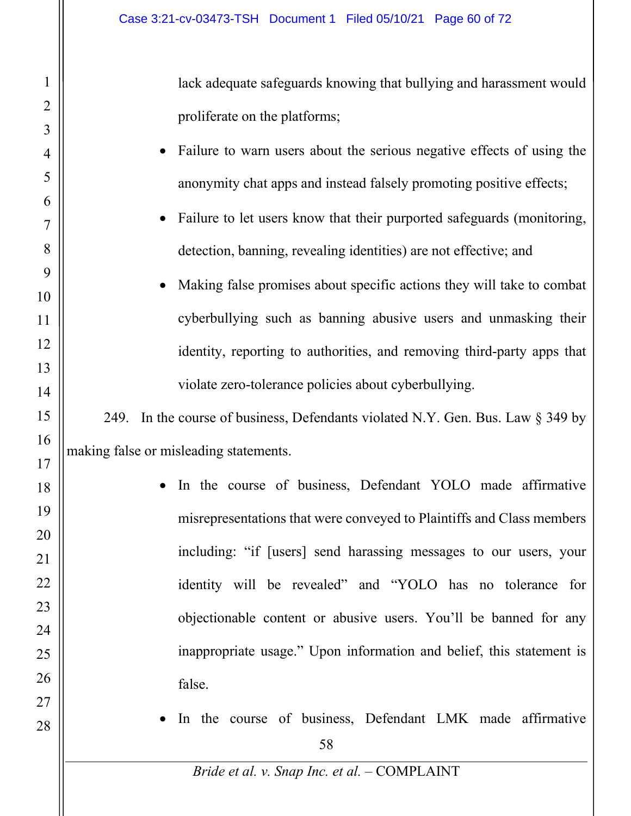1

2

3

lack adequate safeguards knowing that bullying and harassment would proliferate on the platforms;

| $\overline{4}$ | Failure to warn users about the serious negative effects of using the              |
|----------------|------------------------------------------------------------------------------------|
| 5              | anonymity chat apps and instead falsely promoting positive effects;                |
| 6              |                                                                                    |
| $\overline{7}$ | • Failure to let users know that their purported safeguards (monitoring,           |
| 8              | detection, banning, revealing identities) are not effective; and                   |
| 9<br>10        | Making false promises about specific actions they will take to combat<br>$\bullet$ |
| 11             | cyberbullying such as banning abusive users and unmasking their                    |
|                |                                                                                    |
| 12             | identity, reporting to authorities, and removing third-party apps that             |
| 13             | violate zero-tolerance policies about cyberbullying.                               |
| 14             |                                                                                    |
| 15             | 249. In the course of business, Defendants violated N.Y. Gen. Bus. Law § 349 by    |
| 16             | making false or misleading statements.                                             |
| 17             |                                                                                    |
| 18             | In the course of business, Defendant YOLO made affirmative                         |
| 19             | misrepresentations that were conveyed to Plaintiffs and Class members              |
| 20             |                                                                                    |
| 21             | including: "if [users] send harassing messages to our users, your                  |
| 22             | identity will be revealed" and "YOLO has no tolerance for                          |
| 23             |                                                                                    |
| 24             | objectionable content or abusive users. You'll be banned for any                   |
| 25             | inappropriate usage." Upon information and belief, this statement is               |
| 26             | false.                                                                             |
| 27             |                                                                                    |
| 28             | In the course of business, Defendant LMK made affirmative                          |
|                | 58                                                                                 |
|                | Bride et al. v. Snap Inc. et al. - COMPLAINT                                       |
|                |                                                                                    |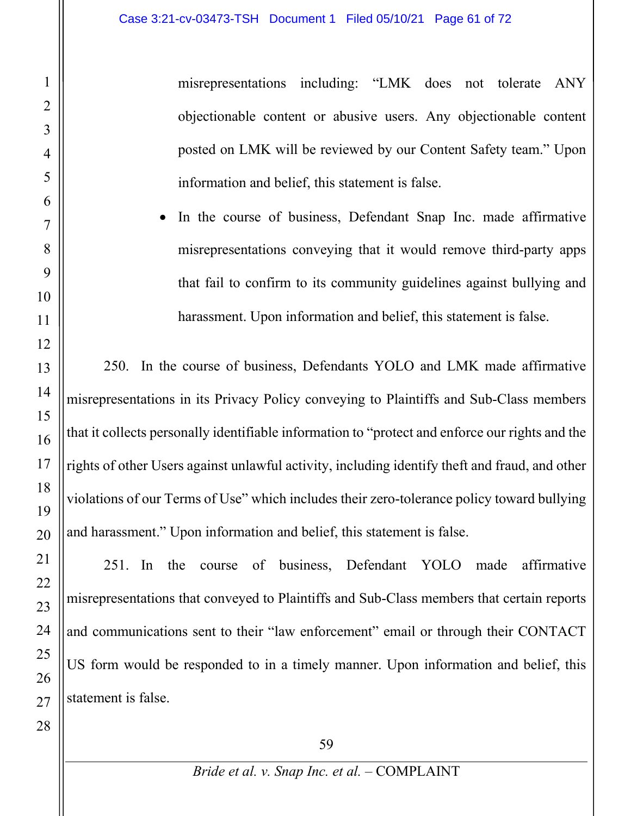misrepresentations including: "LMK does not tolerate ANY objectionable content or abusive users. Any objectionable content posted on LMK will be reviewed by our Content Safety team." Upon information and belief, this statement is false.

 In the course of business, Defendant Snap Inc. made affirmative misrepresentations conveying that it would remove third-party apps that fail to confirm to its community guidelines against bullying and harassment. Upon information and belief, this statement is false.

250. In the course of business, Defendants YOLO and LMK made affirmative misrepresentations in its Privacy Policy conveying to Plaintiffs and Sub-Class members that it collects personally identifiable information to "protect and enforce our rights and the rights of other Users against unlawful activity, including identify theft and fraud, and other violations of our Terms of Use" which includes their zero-tolerance policy toward bullying and harassment." Upon information and belief, this statement is false.

251. In the course of business, Defendant YOLO made affirmative misrepresentations that conveyed to Plaintiffs and Sub-Class members that certain reports and communications sent to their "law enforcement" email or through their CONTACT US form would be responded to in a timely manner. Upon information and belief, this statement is false.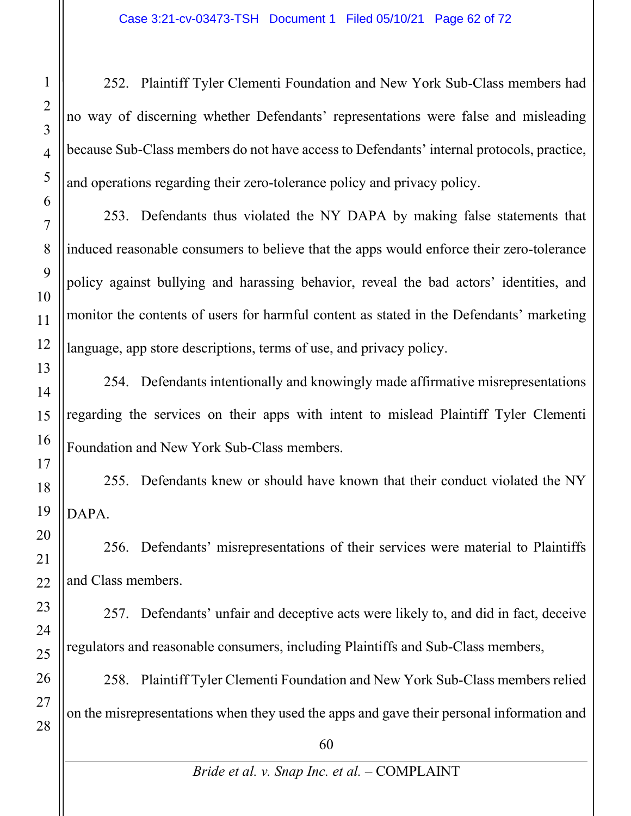252. Plaintiff Tyler Clementi Foundation and New York Sub-Class members had no way of discerning whether Defendants' representations were false and misleading because Sub-Class members do not have access to Defendants' internal protocols, practice, and operations regarding their zero-tolerance policy and privacy policy.

253. Defendants thus violated the NY DAPA by making false statements that induced reasonable consumers to believe that the apps would enforce their zero-tolerance policy against bullying and harassing behavior, reveal the bad actors' identities, and monitor the contents of users for harmful content as stated in the Defendants' marketing language, app store descriptions, terms of use, and privacy policy.

254. Defendants intentionally and knowingly made affirmative misrepresentations regarding the services on their apps with intent to mislead Plaintiff Tyler Clementi Foundation and New York Sub-Class members.

255. Defendants knew or should have known that their conduct violated the NY DAPA.

256. Defendants' misrepresentations of their services were material to Plaintiffs and Class members.

257. Defendants' unfair and deceptive acts were likely to, and did in fact, deceive regulators and reasonable consumers, including Plaintiffs and Sub-Class members,

258. Plaintiff Tyler Clementi Foundation and New York Sub-Class members relied on the misrepresentations when they used the apps and gave their personal information and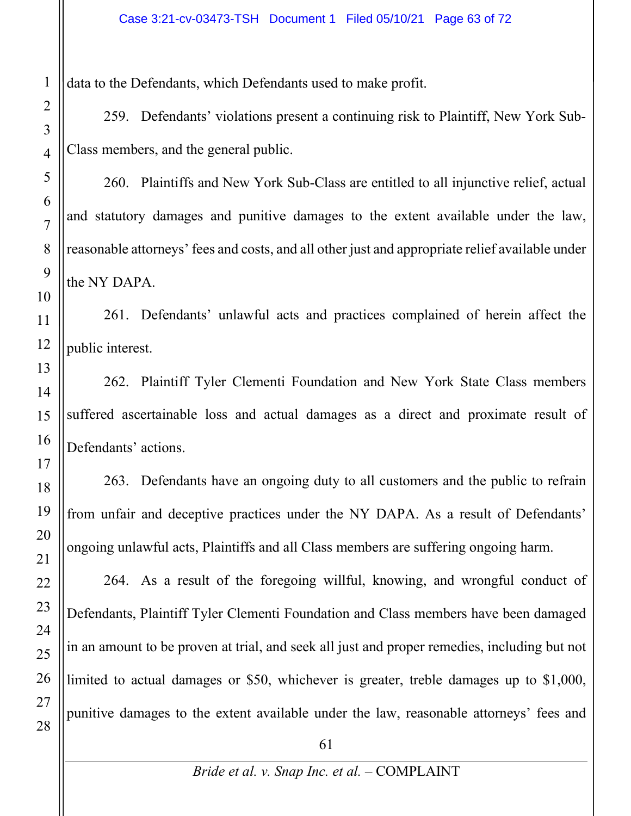data to the Defendants, which Defendants used to make profit.

259. Defendants' violations present a continuing risk to Plaintiff, New York Sub-Class members, and the general public.

260. Plaintiffs and New York Sub-Class are entitled to all injunctive relief, actual and statutory damages and punitive damages to the extent available under the law, reasonable attorneys' fees and costs, and all other just and appropriate relief available under the NY DAPA.

261. Defendants' unlawful acts and practices complained of herein affect the public interest.

262. Plaintiff Tyler Clementi Foundation and New York State Class members suffered ascertainable loss and actual damages as a direct and proximate result of Defendants' actions.

263. Defendants have an ongoing duty to all customers and the public to refrain from unfair and deceptive practices under the NY DAPA. As a result of Defendants' ongoing unlawful acts, Plaintiffs and all Class members are suffering ongoing harm.

264. As a result of the foregoing willful, knowing, and wrongful conduct of Defendants, Plaintiff Tyler Clementi Foundation and Class members have been damaged in an amount to be proven at trial, and seek all just and proper remedies, including but not limited to actual damages or \$50, whichever is greater, treble damages up to \$1,000, punitive damages to the extent available under the law, reasonable attorneys' fees and

61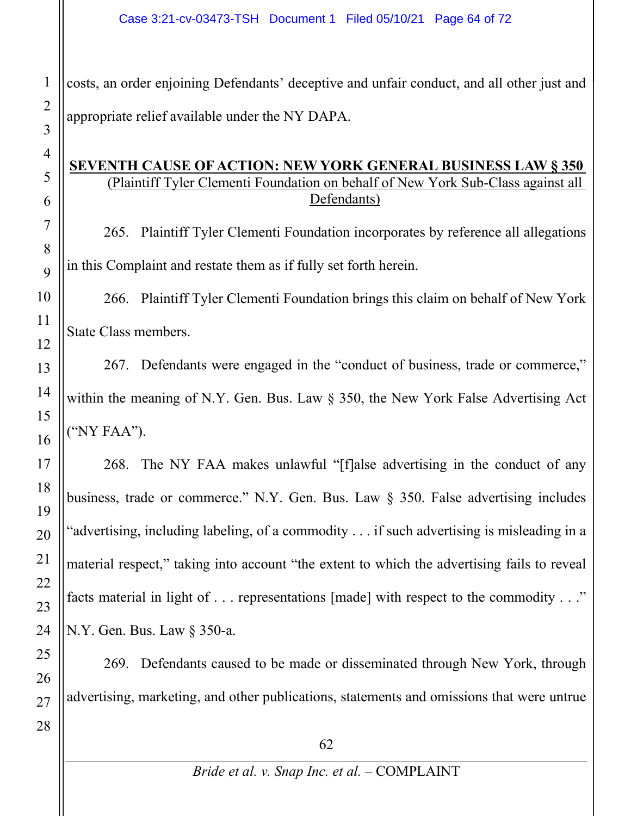costs, an order enjoining Defendants' deceptive and unfair conduct, and all other just and appropriate relief available under the NY DAPA.

#### **SEVENTH CAUSE OF ACTION: NEW YORK GENERAL BUSINESS LAW § 350**  (Plaintiff Tyler Clementi Foundation on behalf of New York Sub-Class against all Defendants)

265. Plaintiff Tyler Clementi Foundation incorporates by reference all allegations in this Complaint and restate them as if fully set forth herein.

266. Plaintiff Tyler Clementi Foundation brings this claim on behalf of New York State Class members.

267. Defendants were engaged in the "conduct of business, trade or commerce," within the meaning of N.Y. Gen. Bus. Law § 350, the New York False Advertising Act ("NY FAA").

268. The NY FAA makes unlawful "[f]alse advertising in the conduct of any business, trade or commerce." N.Y. Gen. Bus. Law § 350. False advertising includes "advertising, including labeling, of a commodity . . . if such advertising is misleading in a material respect," taking into account "the extent to which the advertising fails to reveal facts material in light of . . . representations [made] with respect to the commodity . . ." N.Y. Gen. Bus. Law § 350-a.

269. Defendants caused to be made or disseminated through New York, through advertising, marketing, and other publications, statements and omissions that were untrue

1

2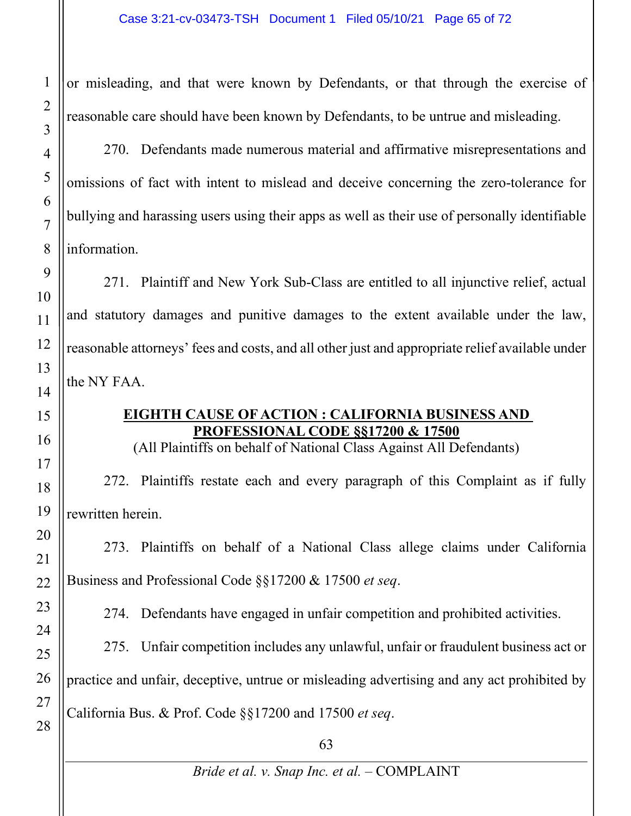or misleading, and that were known by Defendants, or that through the exercise of reasonable care should have been known by Defendants, to be untrue and misleading.

270. Defendants made numerous material and affirmative misrepresentations and omissions of fact with intent to mislead and deceive concerning the zero-tolerance for bullying and harassing users using their apps as well as their use of personally identifiable information.

271. Plaintiff and New York Sub-Class are entitled to all injunctive relief, actual and statutory damages and punitive damages to the extent available under the law, reasonable attorneys' fees and costs, and all other just and appropriate relief available under the NY FAA.

## **EIGHTH CAUSE OF ACTION : CALIFORNIA BUSINESS AND PROFESSIONAL CODE §§17200 & 17500**

(All Plaintiffs on behalf of National Class Against All Defendants)

272. Plaintiffs restate each and every paragraph of this Complaint as if fully rewritten herein.

273. Plaintiffs on behalf of a National Class allege claims under California Business and Professional Code §§17200 & 17500 *et seq*.

274. Defendants have engaged in unfair competition and prohibited activities.

275. Unfair competition includes any unlawful, unfair or fraudulent business act or practice and unfair, deceptive, untrue or misleading advertising and any act prohibited by California Bus. & Prof. Code §§17200 and 17500 *et seq*.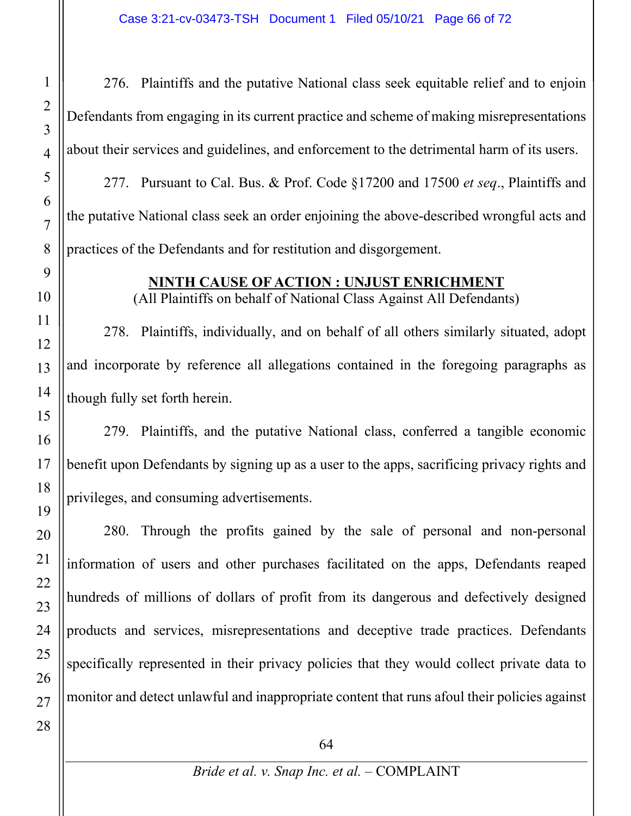276. Plaintiffs and the putative National class seek equitable relief and to enjoin Defendants from engaging in its current practice and scheme of making misrepresentations about their services and guidelines, and enforcement to the detrimental harm of its users. 277. Pursuant to Cal. Bus. & Prof. Code §17200 and 17500 *et seq*., Plaintiffs and the putative National class seek an order enjoining the above-described wrongful acts and practices of the Defendants and for restitution and disgorgement.

# **NINTH CAUSE OF ACTION : UNJUST ENRICHMENT**

(All Plaintiffs on behalf of National Class Against All Defendants)

278. Plaintiffs, individually, and on behalf of all others similarly situated, adopt and incorporate by reference all allegations contained in the foregoing paragraphs as though fully set forth herein.

279. Plaintiffs, and the putative National class, conferred a tangible economic benefit upon Defendants by signing up as a user to the apps, sacrificing privacy rights and privileges, and consuming advertisements.

280. Through the profits gained by the sale of personal and non-personal information of users and other purchases facilitated on the apps, Defendants reaped hundreds of millions of dollars of profit from its dangerous and defectively designed products and services, misrepresentations and deceptive trade practices. Defendants specifically represented in their privacy policies that they would collect private data to monitor and detect unlawful and inappropriate content that runs afoul their policies against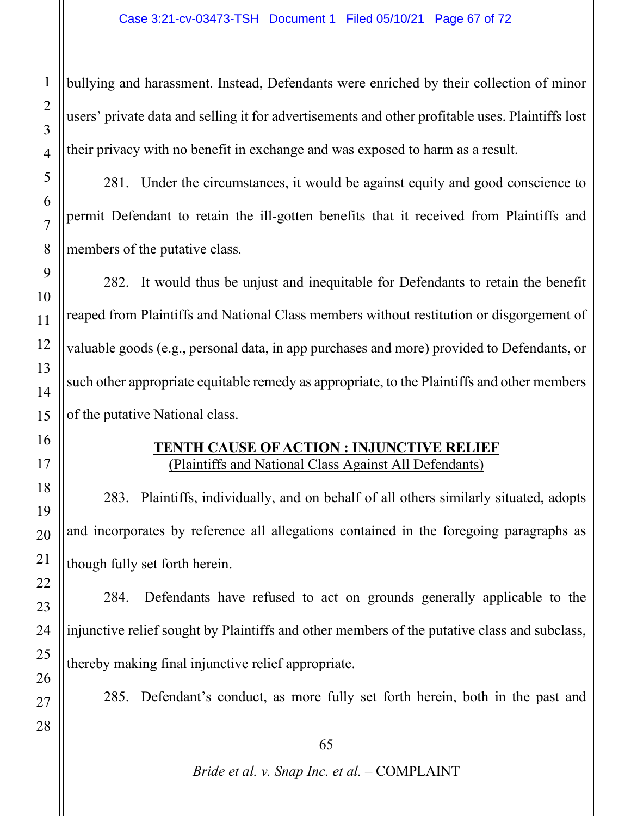bullying and harassment. Instead, Defendants were enriched by their collection of minor users' private data and selling it for advertisements and other profitable uses. Plaintiffs lost their privacy with no benefit in exchange and was exposed to harm as a result.

281. Under the circumstances, it would be against equity and good conscience to permit Defendant to retain the ill-gotten benefits that it received from Plaintiffs and members of the putative class.

282. It would thus be unjust and inequitable for Defendants to retain the benefit reaped from Plaintiffs and National Class members without restitution or disgorgement of valuable goods (e.g., personal data, in app purchases and more) provided to Defendants, or such other appropriate equitable remedy as appropriate, to the Plaintiffs and other members of the putative National class.

### **TENTH CAUSE OF ACTION : INJUNCTIVE RELIEF** (Plaintiffs and National Class Against All Defendants)

283. Plaintiffs, individually, and on behalf of all others similarly situated, adopts and incorporates by reference all allegations contained in the foregoing paragraphs as though fully set forth herein.

284. Defendants have refused to act on grounds generally applicable to the injunctive relief sought by Plaintiffs and other members of the putative class and subclass, thereby making final injunctive relief appropriate.

285. Defendant's conduct, as more fully set forth herein, both in the past and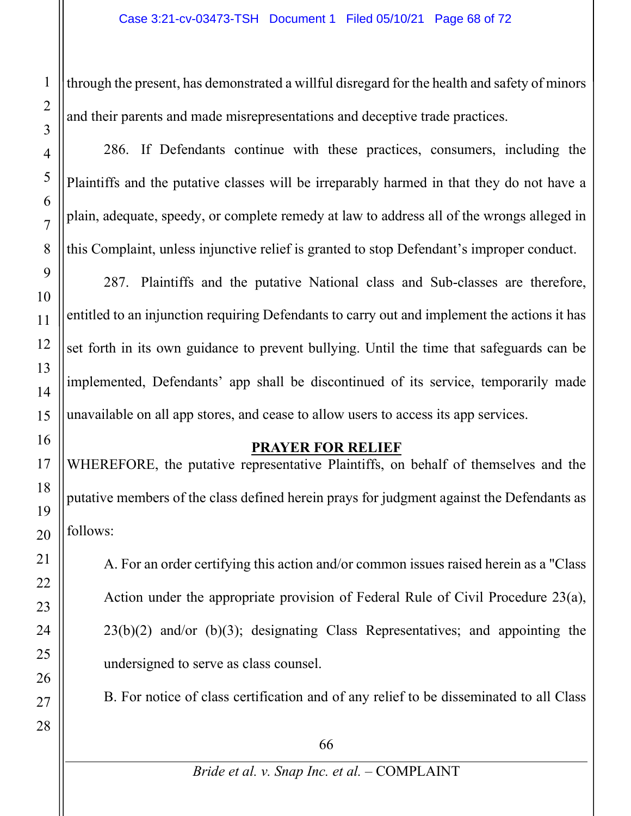through the present, has demonstrated a willful disregard for the health and safety of minors and their parents and made misrepresentations and deceptive trade practices.

286. If Defendants continue with these practices, consumers, including the Plaintiffs and the putative classes will be irreparably harmed in that they do not have a plain, adequate, speedy, or complete remedy at law to address all of the wrongs alleged in this Complaint, unless injunctive relief is granted to stop Defendant's improper conduct.

287. Plaintiffs and the putative National class and Sub-classes are therefore, entitled to an injunction requiring Defendants to carry out and implement the actions it has set forth in its own guidance to prevent bullying. Until the time that safeguards can be implemented, Defendants' app shall be discontinued of its service, temporarily made unavailable on all app stores, and cease to allow users to access its app services.

#### **PRAYER FOR RELIEF**

WHEREFORE, the putative representative Plaintiffs, on behalf of themselves and the putative members of the class defined herein prays for judgment against the Defendants as follows:

A. For an order certifying this action and/or common issues raised herein as a "Class Action under the appropriate provision of Federal Rule of Civil Procedure 23(a),  $23(b)(2)$  and/or  $(b)(3)$ ; designating Class Representatives; and appointing the undersigned to serve as class counsel.

B. For notice of class certification and of any relief to be disseminated to all Class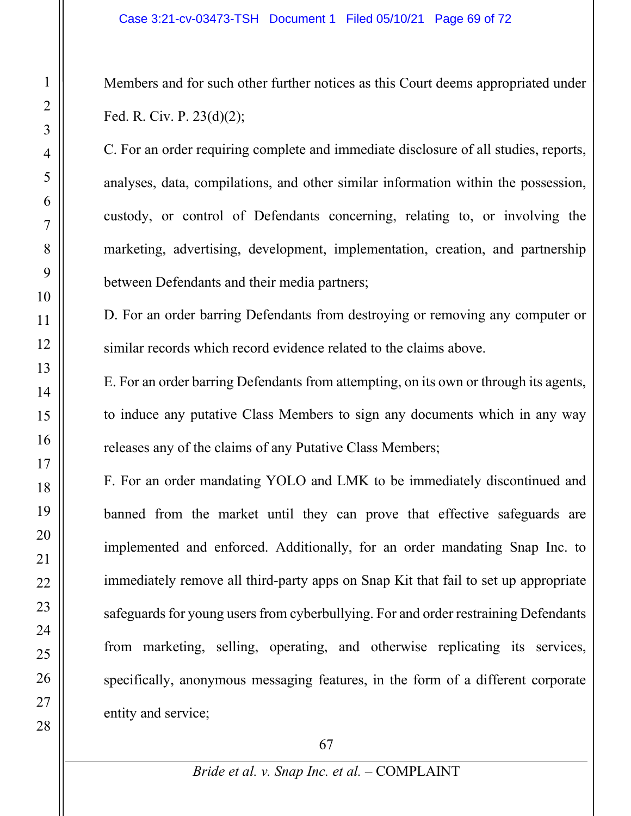Members and for such other further notices as this Court deems appropriated under Fed. R. Civ. P. 23(d)(2);

C. For an order requiring complete and immediate disclosure of all studies, reports, analyses, data, compilations, and other similar information within the possession, custody, or control of Defendants concerning, relating to, or involving the marketing, advertising, development, implementation, creation, and partnership between Defendants and their media partners;

D. For an order barring Defendants from destroying or removing any computer or similar records which record evidence related to the claims above.

E. For an order barring Defendants from attempting, on its own or through its agents, to induce any putative Class Members to sign any documents which in any way releases any of the claims of any Putative Class Members;

F. For an order mandating YOLO and LMK to be immediately discontinued and banned from the market until they can prove that effective safeguards are implemented and enforced. Additionally, for an order mandating Snap Inc. to immediately remove all third-party apps on Snap Kit that fail to set up appropriate safeguards for young users from cyberbullying. For and order restraining Defendants from marketing, selling, operating, and otherwise replicating its services, specifically, anonymous messaging features, in the form of a different corporate entity and service;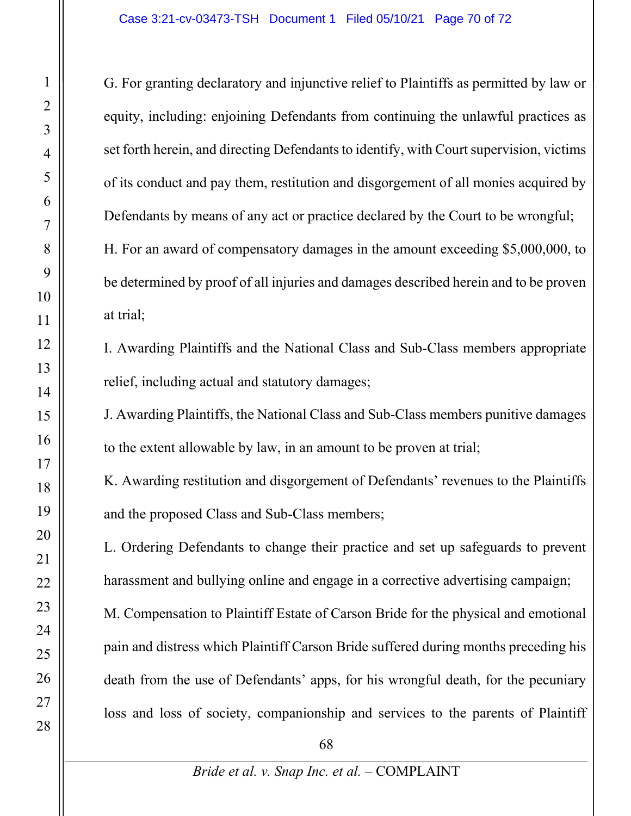G. For granting declaratory and injunctive relief to Plaintiffs as permitted by law or equity, including: enjoining Defendants from continuing the unlawful practices as set forth herein, and directing Defendants to identify, with Court supervision, victims of its conduct and pay them, restitution and disgorgement of all monies acquired by Defendants by means of any act or practice declared by the Court to be wrongful; H. For an award of compensatory damages in the amount exceeding \$5,000,000, to be determined by proof of all injuries and damages described herein and to be proven at trial;

I. Awarding Plaintiffs and the National Class and Sub-Class members appropriate relief, including actual and statutory damages;

J. Awarding Plaintiffs, the National Class and Sub-Class members punitive damages to the extent allowable by law, in an amount to be proven at trial;

K. Awarding restitution and disgorgement of Defendants' revenues to the Plaintiffs and the proposed Class and Sub-Class members;

L. Ordering Defendants to change their practice and set up safeguards to prevent harassment and bullying online and engage in a corrective advertising campaign;

M. Compensation to Plaintiff Estate of Carson Bride for the physical and emotional pain and distress which Plaintiff Carson Bride suffered during months preceding his death from the use of Defendants' apps, for his wrongful death, for the pecuniary loss and loss of society, companionship and services to the parents of Plaintiff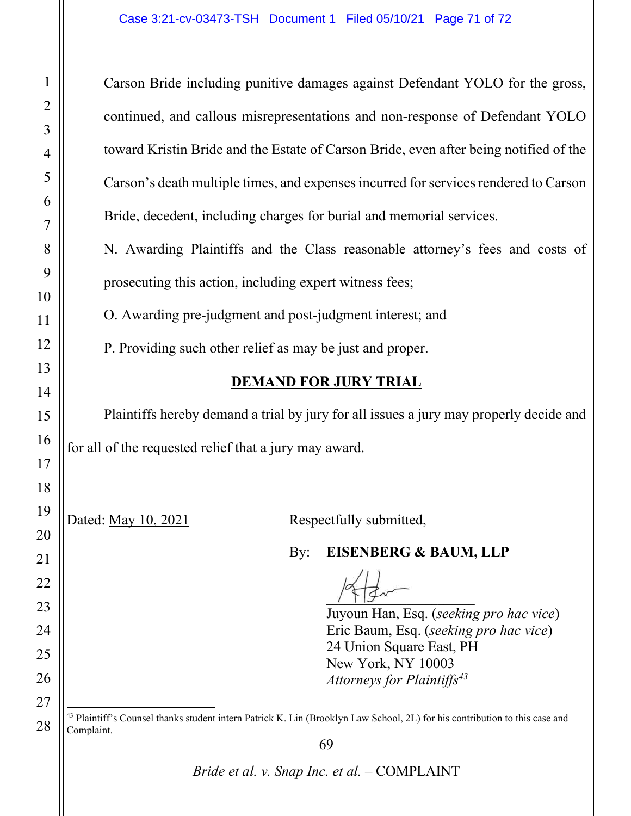69 *Bride et al. v. Snap Inc. et al.* – COMPLAINT 1 2 3 4 5 6 7 8 9 10 11 12 13 14 15 16 17 18 19 20 21 22 23 24 25 26 27 28 Carson Bride including punitive damages against Defendant YOLO for the gross, continued, and callous misrepresentations and non-response of Defendant YOLO toward Kristin Bride and the Estate of Carson Bride, even after being notified of the Carson's death multiple times, and expenses incurred for services rendered to Carson Bride, decedent, including charges for burial and memorial services. N. Awarding Plaintiffs and the Class reasonable attorney's fees and costs of prosecuting this action, including expert witness fees; O. Awarding pre-judgment and post-judgment interest; and P. Providing such other relief as may be just and proper. **DEMAND FOR JURY TRIAL** Plaintiffs hereby demand a trial by jury for all issues a jury may properly decide and for all of the requested relief that a jury may award. Dated: May 10, 2021 Respectfully submitted, By: **EISENBERG & BAUM, LLP**  $\frac{1}{2}$ Juyoun Han, Esq. (*seeking pro hac vice*) Eric Baum, Esq. (*seeking pro hac vice*) 24 Union Square East, PH New York, NY 10003 *Attorneys for Plaintiffs43*  $43$  Plaintiff's Counsel thanks student intern Patrick K. Lin (Brooklyn Law School, 2L) for his contribution to this case and Complaint.